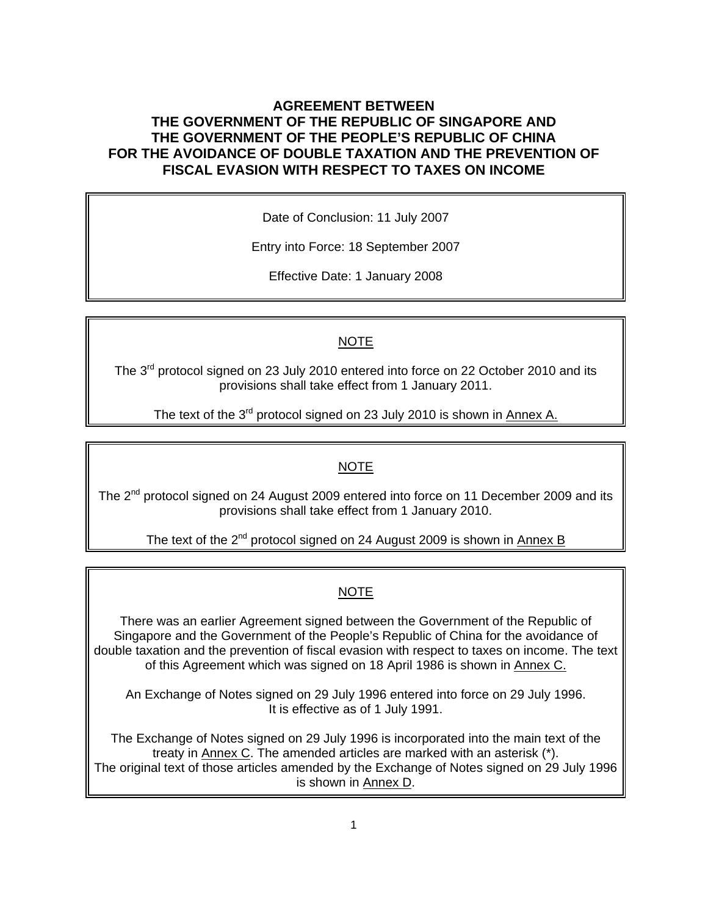# **AGREEMENT BETWEEN THE GOVERNMENT OF THE REPUBLIC OF SINGAPORE AND THE GOVERNMENT OF THE PEOPLE'S REPUBLIC OF CHINA FOR THE AVOIDANCE OF DOUBLE TAXATION AND THE PREVENTION OF FISCAL EVASION WITH RESPECT TO TAXES ON INCOME**

Date of Conclusion: 11 July 2007

Entry into Force: 18 September 2007

Effective Date: 1 January 2008

## NOTE

The 3<sup>rd</sup> protocol signed on 23 July 2010 entered into force on 22 October 2010 and its provisions shall take effect from 1 January 2011.

The text of the 3<sup>rd</sup> protocol signed on 23 July 2010 is shown in Annex A.

## NOTE

The 2<sup>nd</sup> protocol signed on 24 August 2009 entered into force on 11 December 2009 and its provisions shall take effect from 1 January 2010.

The text of the  $2^{nd}$  protocol signed on 24 August 2009 is shown in Annex B

#### NOTE

There was an earlier Agreement signed between the Government of the Republic of Singapore and the Government of the People's Republic of China for the avoidance of double taxation and the prevention of fiscal evasion with respect to taxes on income. The text of this Agreement which was signed on 18 April 1986 is shown in Annex C.

An Exchange of Notes signed on 29 July 1996 entered into force on 29 July 1996. It is effective as of 1 July 1991.

The Exchange of Notes signed on 29 July 1996 is incorporated into the main text of the treaty in Annex C. The amended articles are marked with an asterisk (\*). The original text of those articles amended by the Exchange of Notes signed on 29 July 1996 is shown in Annex D.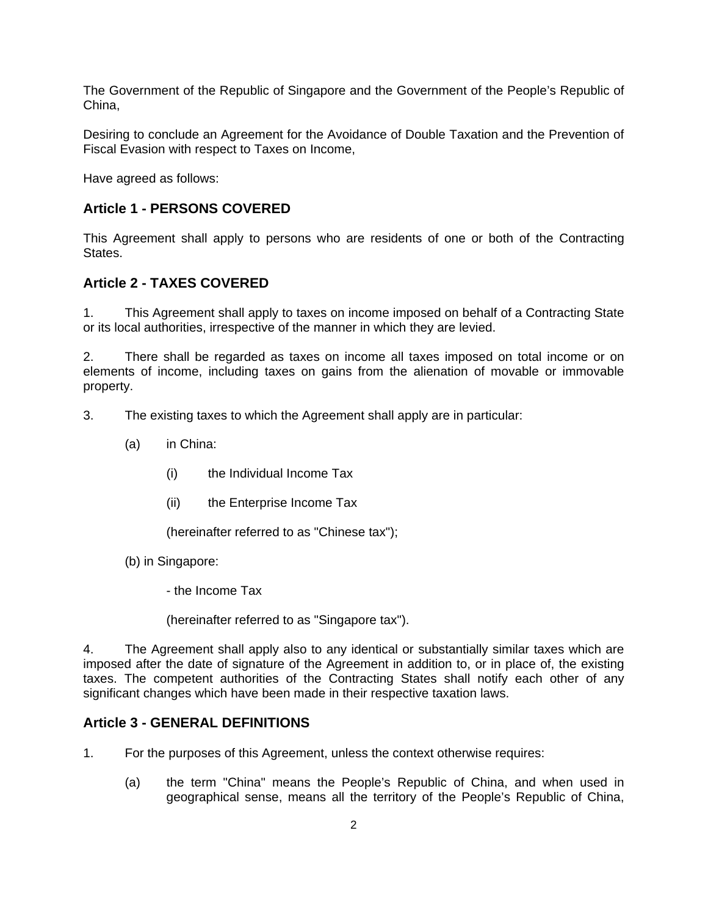The Government of the Republic of Singapore and the Government of the People's Republic of China,

Desiring to conclude an Agreement for the Avoidance of Double Taxation and the Prevention of Fiscal Evasion with respect to Taxes on Income,

Have agreed as follows:

# **Article 1 - PERSONS COVERED**

This Agreement shall apply to persons who are residents of one or both of the Contracting States.

## **Article 2 - TAXES COVERED**

1. This Agreement shall apply to taxes on income imposed on behalf of a Contracting State or its local authorities, irrespective of the manner in which they are levied.

2. There shall be regarded as taxes on income all taxes imposed on total income or on elements of income, including taxes on gains from the alienation of movable or immovable property.

3. The existing taxes to which the Agreement shall apply are in particular:

- (a) in China:
	- (i) the Individual Income Tax
	- (ii) the Enterprise Income Tax

(hereinafter referred to as "Chinese tax");

(b) in Singapore:

- the Income Tax

(hereinafter referred to as "Singapore tax").

4. The Agreement shall apply also to any identical or substantially similar taxes which are imposed after the date of signature of the Agreement in addition to, or in place of, the existing taxes. The competent authorities of the Contracting States shall notify each other of any significant changes which have been made in their respective taxation laws.

## **Article 3 - GENERAL DEFINITIONS**

1. For the purposes of this Agreement, unless the context otherwise requires:

(a) the term "China" means the People's Republic of China, and when used in geographical sense, means all the territory of the People's Republic of China,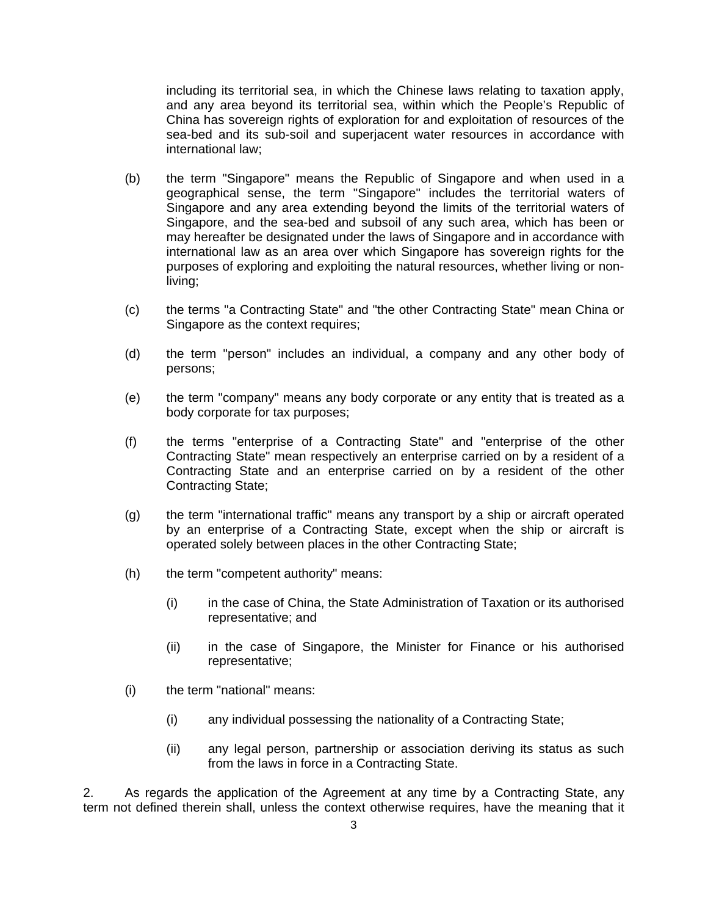including its territorial sea, in which the Chinese laws relating to taxation apply, and any area beyond its territorial sea, within which the People's Republic of China has sovereign rights of exploration for and exploitation of resources of the sea-bed and its sub-soil and superjacent water resources in accordance with international law;

- (b) the term "Singapore" means the Republic of Singapore and when used in a geographical sense, the term "Singapore" includes the territorial waters of Singapore and any area extending beyond the limits of the territorial waters of Singapore, and the sea-bed and subsoil of any such area, which has been or may hereafter be designated under the laws of Singapore and in accordance with international law as an area over which Singapore has sovereign rights for the purposes of exploring and exploiting the natural resources, whether living or nonliving;
- (c) the terms "a Contracting State" and "the other Contracting State" mean China or Singapore as the context requires;
- (d) the term "person" includes an individual, a company and any other body of persons;
- (e) the term "company" means any body corporate or any entity that is treated as a body corporate for tax purposes;
- (f) the terms "enterprise of a Contracting State" and "enterprise of the other Contracting State" mean respectively an enterprise carried on by a resident of a Contracting State and an enterprise carried on by a resident of the other Contracting State;
- (g) the term "international traffic" means any transport by a ship or aircraft operated by an enterprise of a Contracting State, except when the ship or aircraft is operated solely between places in the other Contracting State;
- (h) the term "competent authority" means:
	- (i) in the case of China, the State Administration of Taxation or its authorised representative; and
	- (ii) in the case of Singapore, the Minister for Finance or his authorised representative;
- (i) the term "national" means:
	- (i) any individual possessing the nationality of a Contracting State;
	- (ii) any legal person, partnership or association deriving its status as such from the laws in force in a Contracting State.

2. As regards the application of the Agreement at any time by a Contracting State, any term not defined therein shall, unless the context otherwise requires, have the meaning that it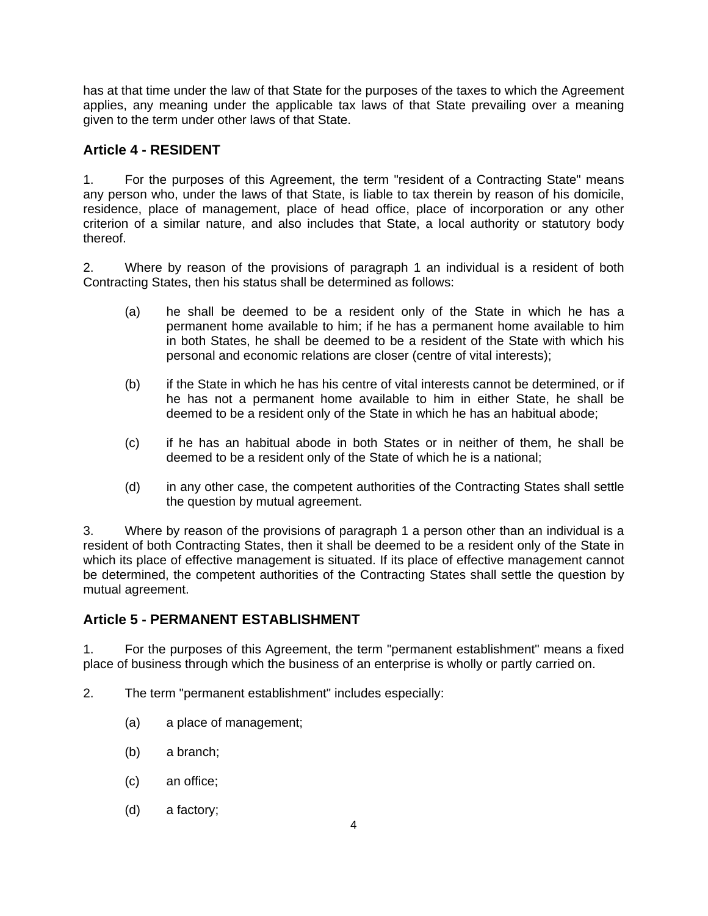has at that time under the law of that State for the purposes of the taxes to which the Agreement applies, any meaning under the applicable tax laws of that State prevailing over a meaning given to the term under other laws of that State.

# **Article 4 - RESIDENT**

1. For the purposes of this Agreement, the term "resident of a Contracting State" means any person who, under the laws of that State, is liable to tax therein by reason of his domicile, residence, place of management, place of head office, place of incorporation or any other criterion of a similar nature, and also includes that State, a local authority or statutory body thereof.

2. Where by reason of the provisions of paragraph 1 an individual is a resident of both Contracting States, then his status shall be determined as follows:

- (a) he shall be deemed to be a resident only of the State in which he has a permanent home available to him; if he has a permanent home available to him in both States, he shall be deemed to be a resident of the State with which his personal and economic relations are closer (centre of vital interests);
- (b) if the State in which he has his centre of vital interests cannot be determined, or if he has not a permanent home available to him in either State, he shall be deemed to be a resident only of the State in which he has an habitual abode;
- (c) if he has an habitual abode in both States or in neither of them, he shall be deemed to be a resident only of the State of which he is a national;
- (d) in any other case, the competent authorities of the Contracting States shall settle the question by mutual agreement.

3. Where by reason of the provisions of paragraph 1 a person other than an individual is a resident of both Contracting States, then it shall be deemed to be a resident only of the State in which its place of effective management is situated. If its place of effective management cannot be determined, the competent authorities of the Contracting States shall settle the question by mutual agreement.

# **Article 5 - PERMANENT ESTABLISHMENT**

1. For the purposes of this Agreement, the term "permanent establishment" means a fixed place of business through which the business of an enterprise is wholly or partly carried on.

- 2. The term "permanent establishment" includes especially:
	- (a) a place of management;
	- (b) a branch;
	- (c) an office;
	- (d) a factory;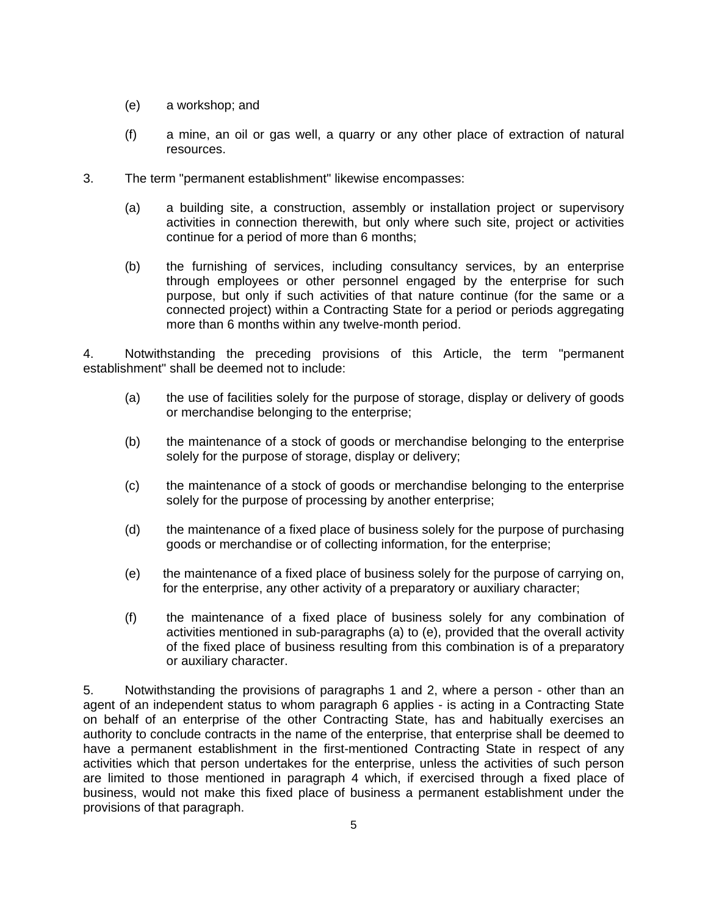- (e) a workshop; and
- (f) a mine, an oil or gas well, a quarry or any other place of extraction of natural resources.
- 3. The term "permanent establishment" likewise encompasses:
	- (a) a building site, a construction, assembly or installation project or supervisory activities in connection therewith, but only where such site, project or activities continue for a period of more than 6 months;
	- (b) the furnishing of services, including consultancy services, by an enterprise through employees or other personnel engaged by the enterprise for such purpose, but only if such activities of that nature continue (for the same or a connected project) within a Contracting State for a period or periods aggregating more than 6 months within any twelve-month period.

4. Notwithstanding the preceding provisions of this Article, the term "permanent establishment" shall be deemed not to include:

- (a) the use of facilities solely for the purpose of storage, display or delivery of goods or merchandise belonging to the enterprise;
- (b) the maintenance of a stock of goods or merchandise belonging to the enterprise solely for the purpose of storage, display or delivery;
- (c) the maintenance of a stock of goods or merchandise belonging to the enterprise solely for the purpose of processing by another enterprise;
- (d) the maintenance of a fixed place of business solely for the purpose of purchasing goods or merchandise or of collecting information, for the enterprise;
- (e) the maintenance of a fixed place of business solely for the purpose of carrying on, for the enterprise, any other activity of a preparatory or auxiliary character;
- (f) the maintenance of a fixed place of business solely for any combination of activities mentioned in sub-paragraphs (a) to (e), provided that the overall activity of the fixed place of business resulting from this combination is of a preparatory or auxiliary character.

5. Notwithstanding the provisions of paragraphs 1 and 2, where a person - other than an agent of an independent status to whom paragraph 6 applies - is acting in a Contracting State on behalf of an enterprise of the other Contracting State, has and habitually exercises an authority to conclude contracts in the name of the enterprise, that enterprise shall be deemed to have a permanent establishment in the first-mentioned Contracting State in respect of any activities which that person undertakes for the enterprise, unless the activities of such person are limited to those mentioned in paragraph 4 which, if exercised through a fixed place of business, would not make this fixed place of business a permanent establishment under the provisions of that paragraph.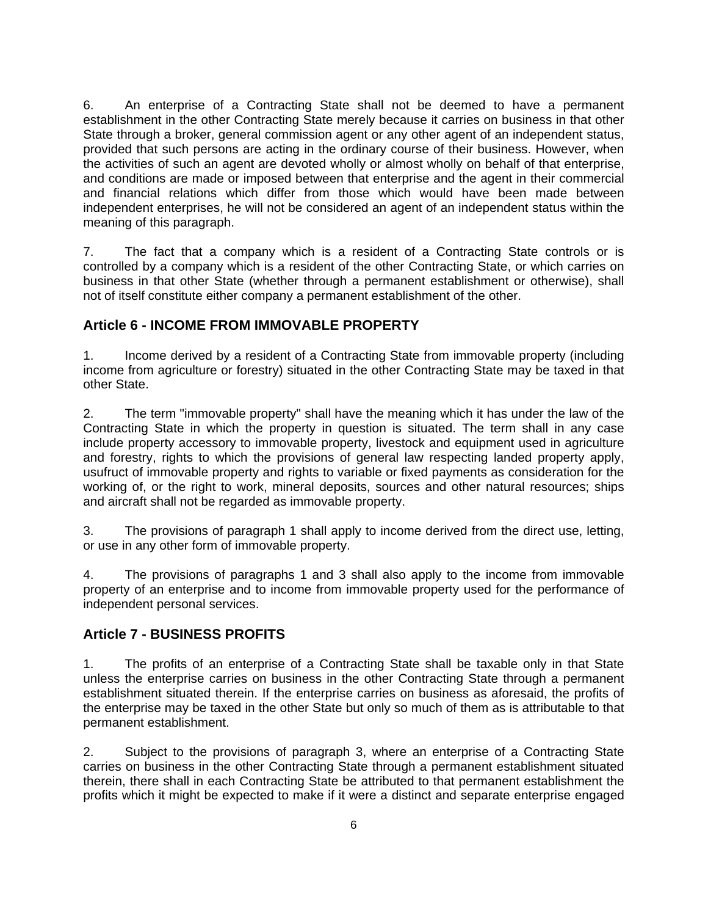6. An enterprise of a Contracting State shall not be deemed to have a permanent establishment in the other Contracting State merely because it carries on business in that other State through a broker, general commission agent or any other agent of an independent status, provided that such persons are acting in the ordinary course of their business. However, when the activities of such an agent are devoted wholly or almost wholly on behalf of that enterprise, and conditions are made or imposed between that enterprise and the agent in their commercial and financial relations which differ from those which would have been made between independent enterprises, he will not be considered an agent of an independent status within the meaning of this paragraph.

7. The fact that a company which is a resident of a Contracting State controls or is controlled by a company which is a resident of the other Contracting State, or which carries on business in that other State (whether through a permanent establishment or otherwise), shall not of itself constitute either company a permanent establishment of the other.

## **Article 6 - INCOME FROM IMMOVABLE PROPERTY**

1. Income derived by a resident of a Contracting State from immovable property (including income from agriculture or forestry) situated in the other Contracting State may be taxed in that other State.

2. The term "immovable property" shall have the meaning which it has under the law of the Contracting State in which the property in question is situated. The term shall in any case include property accessory to immovable property, livestock and equipment used in agriculture and forestry, rights to which the provisions of general law respecting landed property apply, usufruct of immovable property and rights to variable or fixed payments as consideration for the working of, or the right to work, mineral deposits, sources and other natural resources; ships and aircraft shall not be regarded as immovable property.

3. The provisions of paragraph 1 shall apply to income derived from the direct use, letting, or use in any other form of immovable property.

4. The provisions of paragraphs 1 and 3 shall also apply to the income from immovable property of an enterprise and to income from immovable property used for the performance of independent personal services.

# **Article 7 - BUSINESS PROFITS**

1. The profits of an enterprise of a Contracting State shall be taxable only in that State unless the enterprise carries on business in the other Contracting State through a permanent establishment situated therein. If the enterprise carries on business as aforesaid, the profits of the enterprise may be taxed in the other State but only so much of them as is attributable to that permanent establishment.

2. Subject to the provisions of paragraph 3, where an enterprise of a Contracting State carries on business in the other Contracting State through a permanent establishment situated therein, there shall in each Contracting State be attributed to that permanent establishment the profits which it might be expected to make if it were a distinct and separate enterprise engaged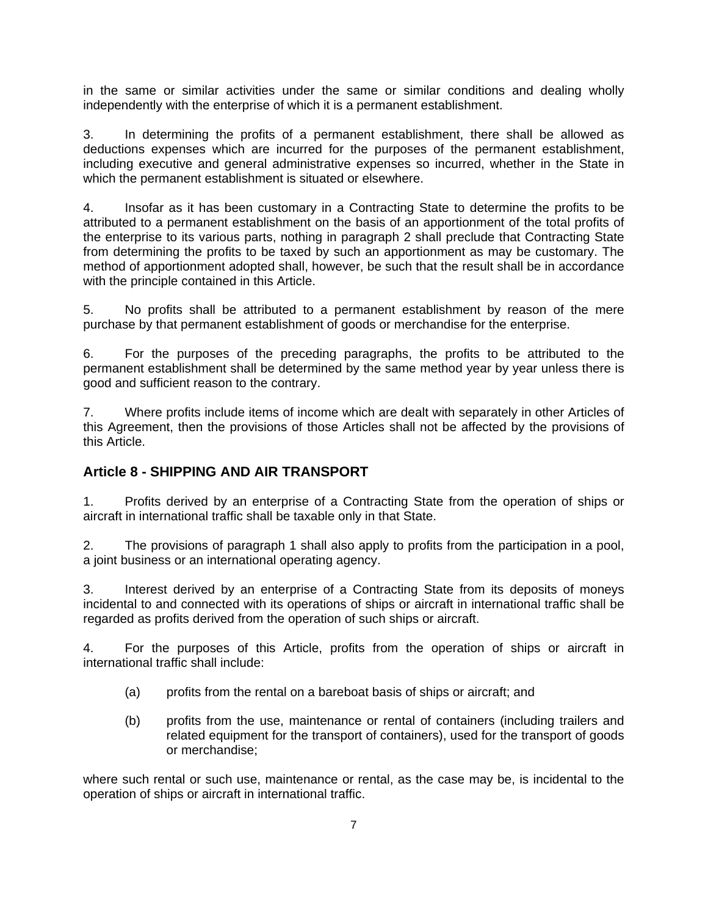in the same or similar activities under the same or similar conditions and dealing wholly independently with the enterprise of which it is a permanent establishment.

3. In determining the profits of a permanent establishment, there shall be allowed as deductions expenses which are incurred for the purposes of the permanent establishment, including executive and general administrative expenses so incurred, whether in the State in which the permanent establishment is situated or elsewhere.

4. Insofar as it has been customary in a Contracting State to determine the profits to be attributed to a permanent establishment on the basis of an apportionment of the total profits of the enterprise to its various parts, nothing in paragraph 2 shall preclude that Contracting State from determining the profits to be taxed by such an apportionment as may be customary. The method of apportionment adopted shall, however, be such that the result shall be in accordance with the principle contained in this Article.

5. No profits shall be attributed to a permanent establishment by reason of the mere purchase by that permanent establishment of goods or merchandise for the enterprise.

6. For the purposes of the preceding paragraphs, the profits to be attributed to the permanent establishment shall be determined by the same method year by year unless there is good and sufficient reason to the contrary.

7. Where profits include items of income which are dealt with separately in other Articles of this Agreement, then the provisions of those Articles shall not be affected by the provisions of this Article.

# **Article 8 - SHIPPING AND AIR TRANSPORT**

1. Profits derived by an enterprise of a Contracting State from the operation of ships or aircraft in international traffic shall be taxable only in that State.

2. The provisions of paragraph 1 shall also apply to profits from the participation in a pool, a joint business or an international operating agency.

3. Interest derived by an enterprise of a Contracting State from its deposits of moneys incidental to and connected with its operations of ships or aircraft in international traffic shall be regarded as profits derived from the operation of such ships or aircraft.

4. For the purposes of this Article, profits from the operation of ships or aircraft in international traffic shall include:

- (a) profits from the rental on a bareboat basis of ships or aircraft; and
- (b) profits from the use, maintenance or rental of containers (including trailers and related equipment for the transport of containers), used for the transport of goods or merchandise;

where such rental or such use, maintenance or rental, as the case may be, is incidental to the operation of ships or aircraft in international traffic.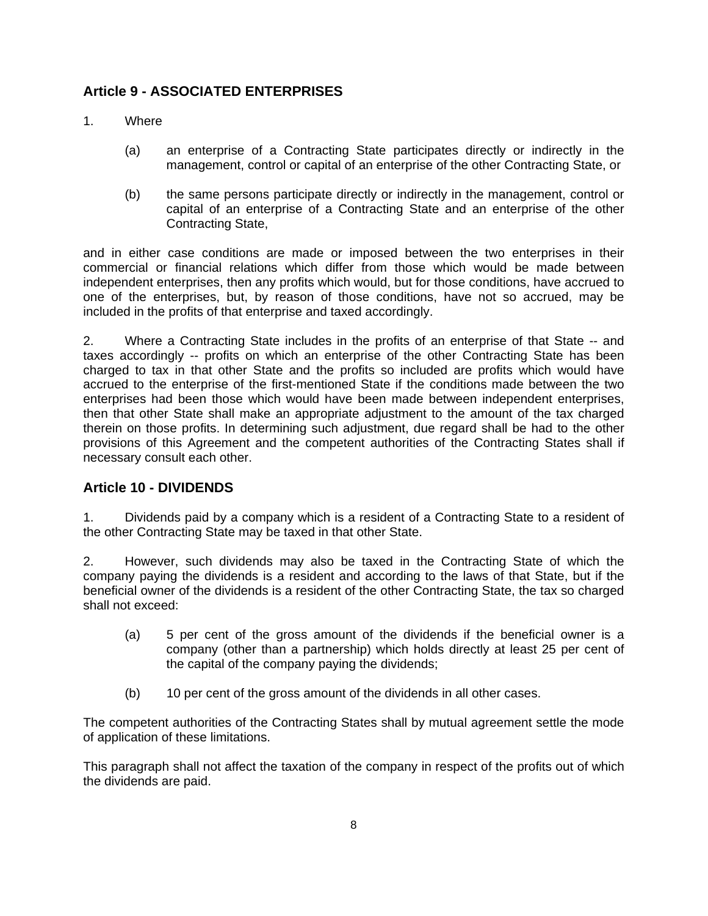# **Article 9 - ASSOCIATED ENTERPRISES**

- 1. Where
	- (a) an enterprise of a Contracting State participates directly or indirectly in the management, control or capital of an enterprise of the other Contracting State, or
	- (b) the same persons participate directly or indirectly in the management, control or capital of an enterprise of a Contracting State and an enterprise of the other Contracting State,

and in either case conditions are made or imposed between the two enterprises in their commercial or financial relations which differ from those which would be made between independent enterprises, then any profits which would, but for those conditions, have accrued to one of the enterprises, but, by reason of those conditions, have not so accrued, may be included in the profits of that enterprise and taxed accordingly.

2. Where a Contracting State includes in the profits of an enterprise of that State -- and taxes accordingly -- profits on which an enterprise of the other Contracting State has been charged to tax in that other State and the profits so included are profits which would have accrued to the enterprise of the first-mentioned State if the conditions made between the two enterprises had been those which would have been made between independent enterprises, then that other State shall make an appropriate adjustment to the amount of the tax charged therein on those profits. In determining such adjustment, due regard shall be had to the other provisions of this Agreement and the competent authorities of the Contracting States shall if necessary consult each other.

# **Article 10 - DIVIDENDS**

1. Dividends paid by a company which is a resident of a Contracting State to a resident of the other Contracting State may be taxed in that other State.

2. However, such dividends may also be taxed in the Contracting State of which the company paying the dividends is a resident and according to the laws of that State, but if the beneficial owner of the dividends is a resident of the other Contracting State, the tax so charged shall not exceed:

- (a) 5 per cent of the gross amount of the dividends if the beneficial owner is a company (other than a partnership) which holds directly at least 25 per cent of the capital of the company paying the dividends;
- (b) 10 per cent of the gross amount of the dividends in all other cases.

The competent authorities of the Contracting States shall by mutual agreement settle the mode of application of these limitations.

This paragraph shall not affect the taxation of the company in respect of the profits out of which the dividends are paid.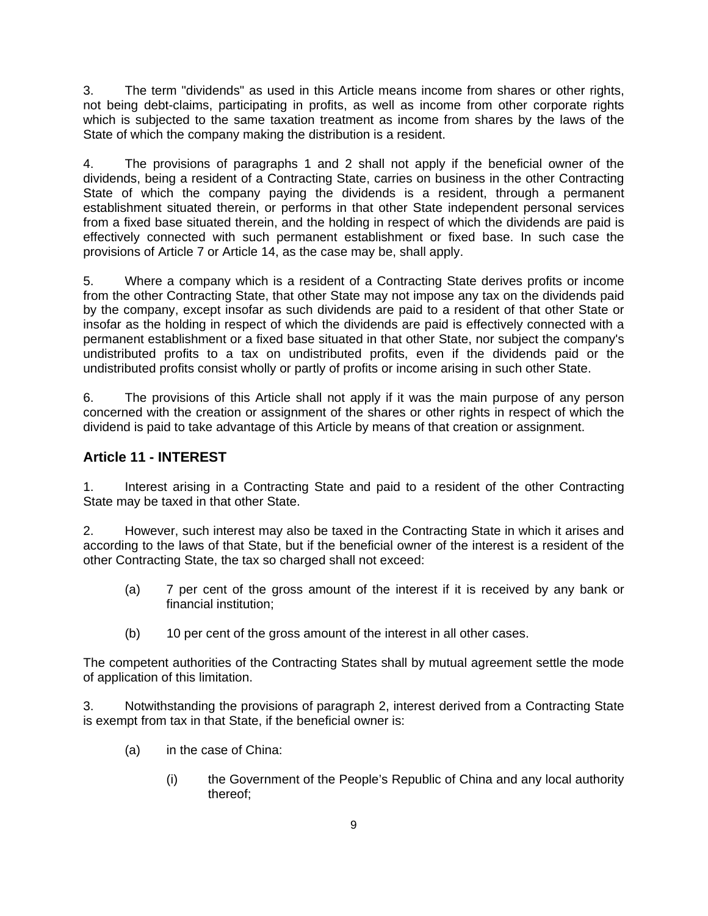3. The term "dividends" as used in this Article means income from shares or other rights, not being debt-claims, participating in profits, as well as income from other corporate rights which is subjected to the same taxation treatment as income from shares by the laws of the State of which the company making the distribution is a resident.

4. The provisions of paragraphs 1 and 2 shall not apply if the beneficial owner of the dividends, being a resident of a Contracting State, carries on business in the other Contracting State of which the company paying the dividends is a resident, through a permanent establishment situated therein, or performs in that other State independent personal services from a fixed base situated therein, and the holding in respect of which the dividends are paid is effectively connected with such permanent establishment or fixed base. In such case the provisions of Article 7 or Article 14, as the case may be, shall apply.

5. Where a company which is a resident of a Contracting State derives profits or income from the other Contracting State, that other State may not impose any tax on the dividends paid by the company, except insofar as such dividends are paid to a resident of that other State or insofar as the holding in respect of which the dividends are paid is effectively connected with a permanent establishment or a fixed base situated in that other State, nor subject the company's undistributed profits to a tax on undistributed profits, even if the dividends paid or the undistributed profits consist wholly or partly of profits or income arising in such other State.

6. The provisions of this Article shall not apply if it was the main purpose of any person concerned with the creation or assignment of the shares or other rights in respect of which the dividend is paid to take advantage of this Article by means of that creation or assignment.

# **Article 11 - INTEREST**

1. Interest arising in a Contracting State and paid to a resident of the other Contracting State may be taxed in that other State.

2. However, such interest may also be taxed in the Contracting State in which it arises and according to the laws of that State, but if the beneficial owner of the interest is a resident of the other Contracting State, the tax so charged shall not exceed:

- (a) 7 per cent of the gross amount of the interest if it is received by any bank or financial institution;
- (b) 10 per cent of the gross amount of the interest in all other cases.

The competent authorities of the Contracting States shall by mutual agreement settle the mode of application of this limitation.

3. Notwithstanding the provisions of paragraph 2, interest derived from a Contracting State is exempt from tax in that State, if the beneficial owner is:

- (a) in the case of China:
	- (i) the Government of the People's Republic of China and any local authority thereof;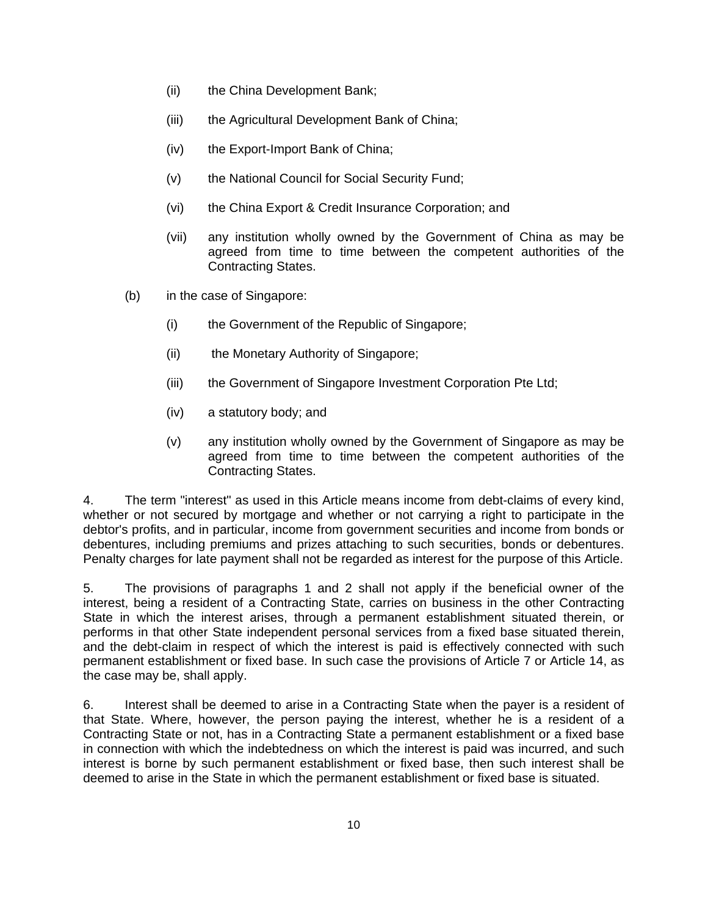- (ii) the China Development Bank;
- (iii) the Agricultural Development Bank of China;
- (iv) the Export-Import Bank of China;
- (v) the National Council for Social Security Fund;
- (vi) the China Export & Credit Insurance Corporation; and
- (vii) any institution wholly owned by the Government of China as may be agreed from time to time between the competent authorities of the Contracting States.
- (b) in the case of Singapore:
	- (i) the Government of the Republic of Singapore;
	- (ii) the Monetary Authority of Singapore;
	- (iii) the Government of Singapore Investment Corporation Pte Ltd;
	- (iv) a statutory body; and
	- (v) any institution wholly owned by the Government of Singapore as may be agreed from time to time between the competent authorities of the Contracting States.

4. The term "interest" as used in this Article means income from debt-claims of every kind, whether or not secured by mortgage and whether or not carrying a right to participate in the debtor's profits, and in particular, income from government securities and income from bonds or debentures, including premiums and prizes attaching to such securities, bonds or debentures. Penalty charges for late payment shall not be regarded as interest for the purpose of this Article.

5. The provisions of paragraphs 1 and 2 shall not apply if the beneficial owner of the interest, being a resident of a Contracting State, carries on business in the other Contracting State in which the interest arises, through a permanent establishment situated therein, or performs in that other State independent personal services from a fixed base situated therein, and the debt-claim in respect of which the interest is paid is effectively connected with such permanent establishment or fixed base. In such case the provisions of Article 7 or Article 14, as the case may be, shall apply.

6. Interest shall be deemed to arise in a Contracting State when the payer is a resident of that State. Where, however, the person paying the interest, whether he is a resident of a Contracting State or not, has in a Contracting State a permanent establishment or a fixed base in connection with which the indebtedness on which the interest is paid was incurred, and such interest is borne by such permanent establishment or fixed base, then such interest shall be deemed to arise in the State in which the permanent establishment or fixed base is situated.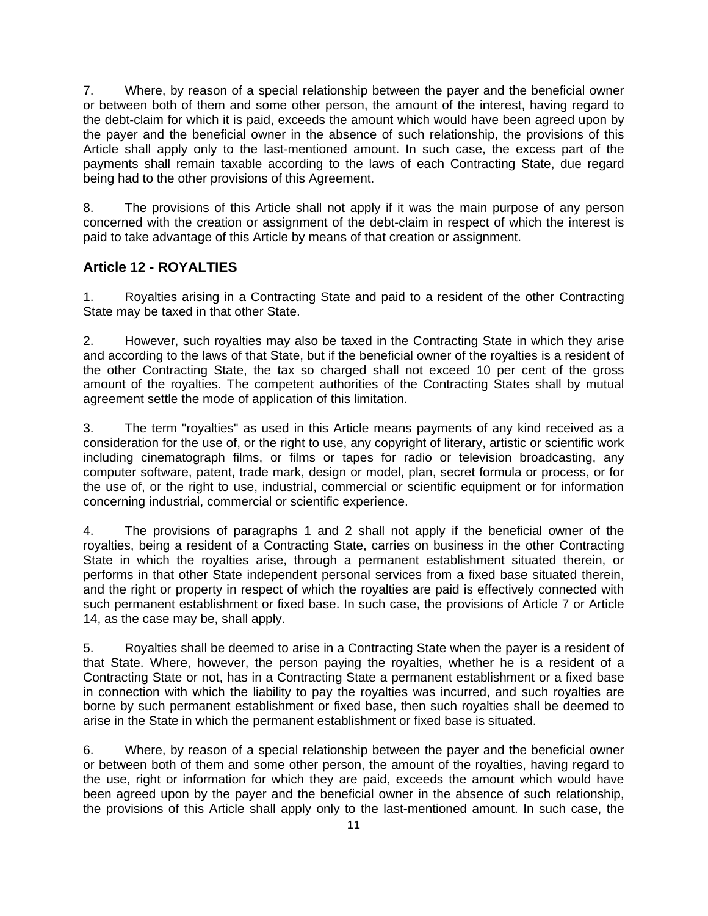7. Where, by reason of a special relationship between the payer and the beneficial owner or between both of them and some other person, the amount of the interest, having regard to the debt-claim for which it is paid, exceeds the amount which would have been agreed upon by the payer and the beneficial owner in the absence of such relationship, the provisions of this Article shall apply only to the last-mentioned amount. In such case, the excess part of the payments shall remain taxable according to the laws of each Contracting State, due regard being had to the other provisions of this Agreement.

8. The provisions of this Article shall not apply if it was the main purpose of any person concerned with the creation or assignment of the debt-claim in respect of which the interest is paid to take advantage of this Article by means of that creation or assignment.

## **Article 12 - ROYALTIES**

1. Royalties arising in a Contracting State and paid to a resident of the other Contracting State may be taxed in that other State.

2. However, such royalties may also be taxed in the Contracting State in which they arise and according to the laws of that State, but if the beneficial owner of the royalties is a resident of the other Contracting State, the tax so charged shall not exceed 10 per cent of the gross amount of the royalties. The competent authorities of the Contracting States shall by mutual agreement settle the mode of application of this limitation.

3. The term "royalties" as used in this Article means payments of any kind received as a consideration for the use of, or the right to use, any copyright of literary, artistic or scientific work including cinematograph films, or films or tapes for radio or television broadcasting, any computer software, patent, trade mark, design or model, plan, secret formula or process, or for the use of, or the right to use, industrial, commercial or scientific equipment or for information concerning industrial, commercial or scientific experience.

4. The provisions of paragraphs 1 and 2 shall not apply if the beneficial owner of the royalties, being a resident of a Contracting State, carries on business in the other Contracting State in which the royalties arise, through a permanent establishment situated therein, or performs in that other State independent personal services from a fixed base situated therein, and the right or property in respect of which the royalties are paid is effectively connected with such permanent establishment or fixed base. In such case, the provisions of Article 7 or Article 14, as the case may be, shall apply.

5. Royalties shall be deemed to arise in a Contracting State when the payer is a resident of that State. Where, however, the person paying the royalties, whether he is a resident of a Contracting State or not, has in a Contracting State a permanent establishment or a fixed base in connection with which the liability to pay the royalties was incurred, and such royalties are borne by such permanent establishment or fixed base, then such royalties shall be deemed to arise in the State in which the permanent establishment or fixed base is situated.

6. Where, by reason of a special relationship between the payer and the beneficial owner or between both of them and some other person, the amount of the royalties, having regard to the use, right or information for which they are paid, exceeds the amount which would have been agreed upon by the payer and the beneficial owner in the absence of such relationship, the provisions of this Article shall apply only to the last-mentioned amount. In such case, the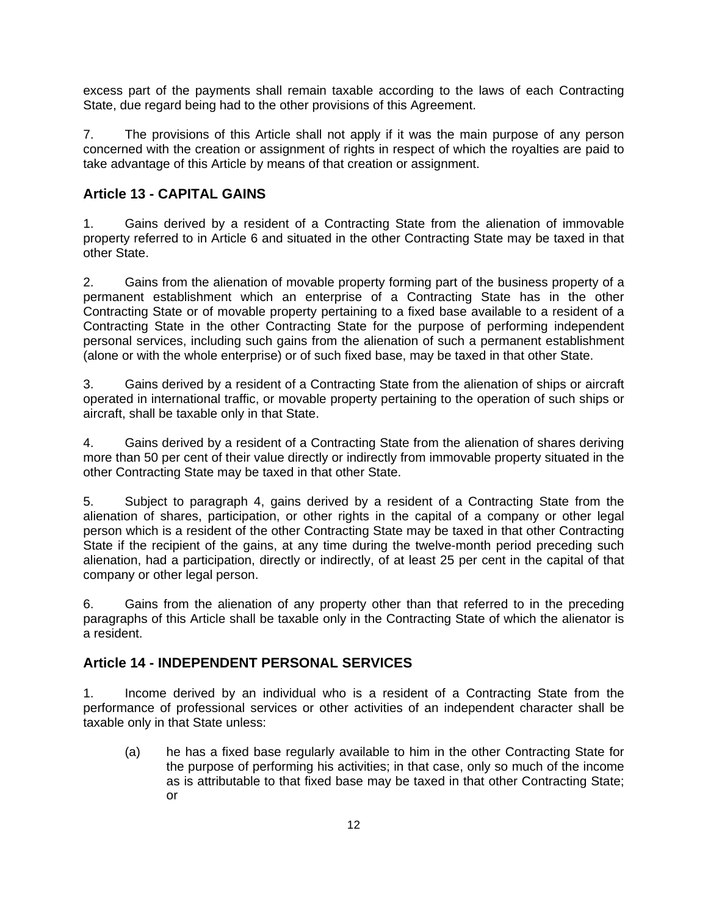excess part of the payments shall remain taxable according to the laws of each Contracting State, due regard being had to the other provisions of this Agreement.

7. The provisions of this Article shall not apply if it was the main purpose of any person concerned with the creation or assignment of rights in respect of which the royalties are paid to take advantage of this Article by means of that creation or assignment.

# **Article 13 - CAPITAL GAINS**

1. Gains derived by a resident of a Contracting State from the alienation of immovable property referred to in Article 6 and situated in the other Contracting State may be taxed in that other State.

2. Gains from the alienation of movable property forming part of the business property of a permanent establishment which an enterprise of a Contracting State has in the other Contracting State or of movable property pertaining to a fixed base available to a resident of a Contracting State in the other Contracting State for the purpose of performing independent personal services, including such gains from the alienation of such a permanent establishment (alone or with the whole enterprise) or of such fixed base, may be taxed in that other State.

3. Gains derived by a resident of a Contracting State from the alienation of ships or aircraft operated in international traffic, or movable property pertaining to the operation of such ships or aircraft, shall be taxable only in that State.

4. Gains derived by a resident of a Contracting State from the alienation of shares deriving more than 50 per cent of their value directly or indirectly from immovable property situated in the other Contracting State may be taxed in that other State.

5. Subject to paragraph 4, gains derived by a resident of a Contracting State from the alienation of shares, participation, or other rights in the capital of a company or other legal person which is a resident of the other Contracting State may be taxed in that other Contracting State if the recipient of the gains, at any time during the twelve-month period preceding such alienation, had a participation, directly or indirectly, of at least 25 per cent in the capital of that company or other legal person.

6. Gains from the alienation of any property other than that referred to in the preceding paragraphs of this Article shall be taxable only in the Contracting State of which the alienator is a resident.

# **Article 14 - INDEPENDENT PERSONAL SERVICES**

1. Income derived by an individual who is a resident of a Contracting State from the performance of professional services or other activities of an independent character shall be taxable only in that State unless:

(a) he has a fixed base regularly available to him in the other Contracting State for the purpose of performing his activities; in that case, only so much of the income as is attributable to that fixed base may be taxed in that other Contracting State; or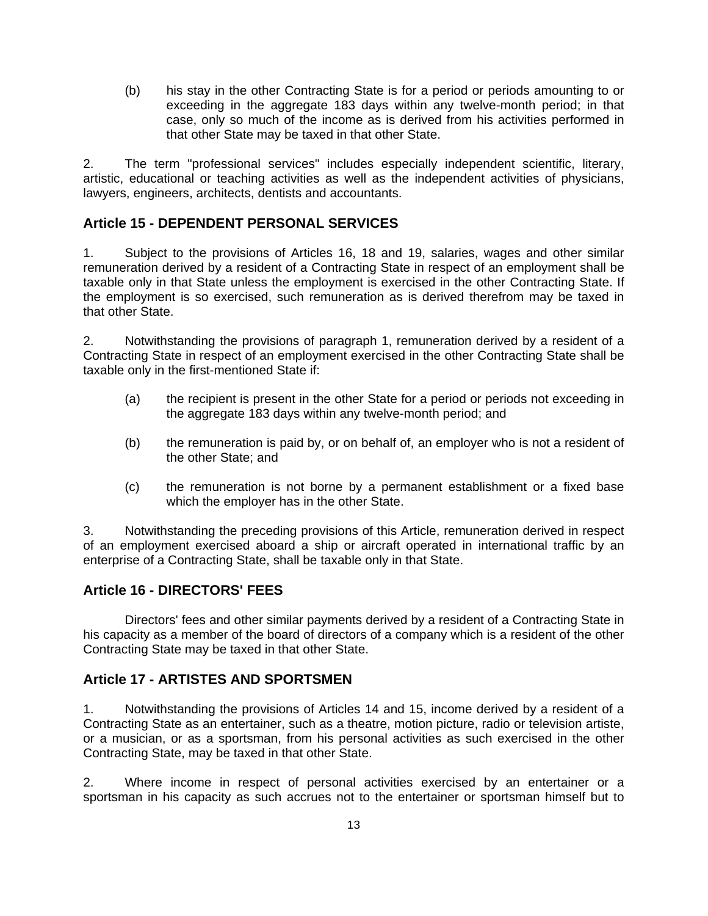(b) his stay in the other Contracting State is for a period or periods amounting to or exceeding in the aggregate 183 days within any twelve-month period; in that case, only so much of the income as is derived from his activities performed in that other State may be taxed in that other State.

2. The term "professional services" includes especially independent scientific, literary, artistic, educational or teaching activities as well as the independent activities of physicians, lawyers, engineers, architects, dentists and accountants.

# **Article 15 - DEPENDENT PERSONAL SERVICES**

1. Subject to the provisions of Articles 16, 18 and 19, salaries, wages and other similar remuneration derived by a resident of a Contracting State in respect of an employment shall be taxable only in that State unless the employment is exercised in the other Contracting State. If the employment is so exercised, such remuneration as is derived therefrom may be taxed in that other State.

2. Notwithstanding the provisions of paragraph 1, remuneration derived by a resident of a Contracting State in respect of an employment exercised in the other Contracting State shall be taxable only in the first-mentioned State if:

- (a) the recipient is present in the other State for a period or periods not exceeding in the aggregate 183 days within any twelve-month period; and
- (b) the remuneration is paid by, or on behalf of, an employer who is not a resident of the other State; and
- (c) the remuneration is not borne by a permanent establishment or a fixed base which the employer has in the other State.

3. Notwithstanding the preceding provisions of this Article, remuneration derived in respect of an employment exercised aboard a ship or aircraft operated in international traffic by an enterprise of a Contracting State, shall be taxable only in that State.

## **Article 16 - DIRECTORS' FEES**

Directors' fees and other similar payments derived by a resident of a Contracting State in his capacity as a member of the board of directors of a company which is a resident of the other Contracting State may be taxed in that other State.

## **Article 17 - ARTISTES AND SPORTSMEN**

1. Notwithstanding the provisions of Articles 14 and 15, income derived by a resident of a Contracting State as an entertainer, such as a theatre, motion picture, radio or television artiste, or a musician, or as a sportsman, from his personal activities as such exercised in the other Contracting State, may be taxed in that other State.

2. Where income in respect of personal activities exercised by an entertainer or a sportsman in his capacity as such accrues not to the entertainer or sportsman himself but to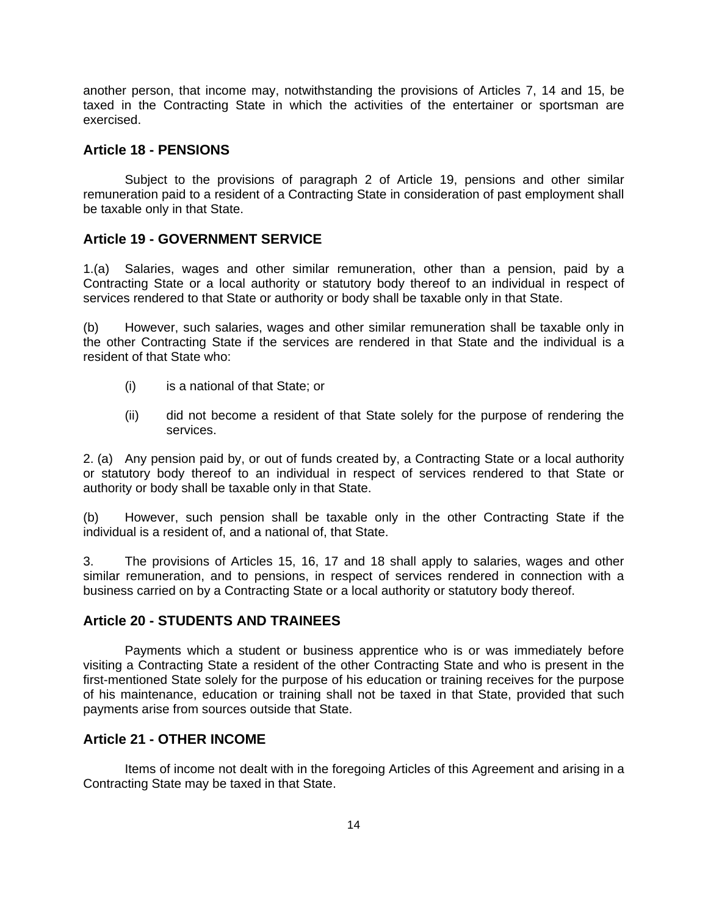another person, that income may, notwithstanding the provisions of Articles 7, 14 and 15, be taxed in the Contracting State in which the activities of the entertainer or sportsman are exercised.

### **Article 18 - PENSIONS**

Subject to the provisions of paragraph 2 of Article 19, pensions and other similar remuneration paid to a resident of a Contracting State in consideration of past employment shall be taxable only in that State.

## **Article 19 - GOVERNMENT SERVICE**

1.(a) Salaries, wages and other similar remuneration, other than a pension, paid by a Contracting State or a local authority or statutory body thereof to an individual in respect of services rendered to that State or authority or body shall be taxable only in that State.

(b) However, such salaries, wages and other similar remuneration shall be taxable only in the other Contracting State if the services are rendered in that State and the individual is a resident of that State who:

- (i) is a national of that State; or
- (ii) did not become a resident of that State solely for the purpose of rendering the services.

2. (a) Any pension paid by, or out of funds created by, a Contracting State or a local authority or statutory body thereof to an individual in respect of services rendered to that State or authority or body shall be taxable only in that State.

(b) However, such pension shall be taxable only in the other Contracting State if the individual is a resident of, and a national of, that State.

3. The provisions of Articles 15, 16, 17 and 18 shall apply to salaries, wages and other similar remuneration, and to pensions, in respect of services rendered in connection with a business carried on by a Contracting State or a local authority or statutory body thereof.

## **Article 20 - STUDENTS AND TRAINEES**

Payments which a student or business apprentice who is or was immediately before visiting a Contracting State a resident of the other Contracting State and who is present in the first-mentioned State solely for the purpose of his education or training receives for the purpose of his maintenance, education or training shall not be taxed in that State, provided that such payments arise from sources outside that State.

## **Article 21 - OTHER INCOME**

Items of income not dealt with in the foregoing Articles of this Agreement and arising in a Contracting State may be taxed in that State.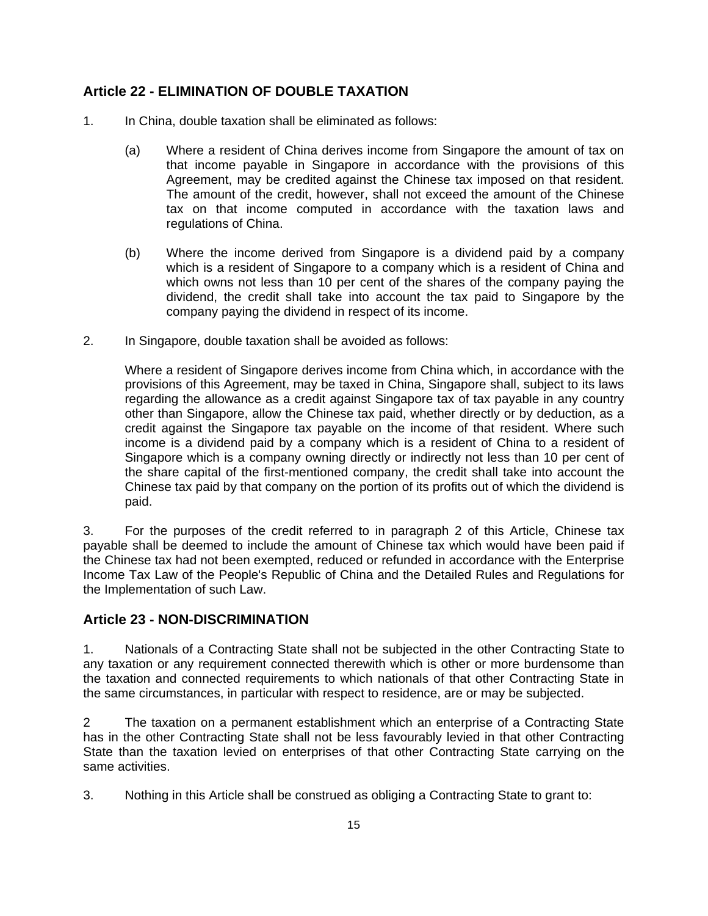# **Article 22 - ELIMINATION OF DOUBLE TAXATION**

- 1. In China, double taxation shall be eliminated as follows:
	- (a) Where a resident of China derives income from Singapore the amount of tax on that income payable in Singapore in accordance with the provisions of this Agreement, may be credited against the Chinese tax imposed on that resident. The amount of the credit, however, shall not exceed the amount of the Chinese tax on that income computed in accordance with the taxation laws and regulations of China.
	- (b) Where the income derived from Singapore is a dividend paid by a company which is a resident of Singapore to a company which is a resident of China and which owns not less than 10 per cent of the shares of the company paying the dividend, the credit shall take into account the tax paid to Singapore by the company paying the dividend in respect of its income.
- 2. In Singapore, double taxation shall be avoided as follows:

Where a resident of Singapore derives income from China which, in accordance with the provisions of this Agreement, may be taxed in China, Singapore shall, subject to its laws regarding the allowance as a credit against Singapore tax of tax payable in any country other than Singapore, allow the Chinese tax paid, whether directly or by deduction, as a credit against the Singapore tax payable on the income of that resident. Where such income is a dividend paid by a company which is a resident of China to a resident of Singapore which is a company owning directly or indirectly not less than 10 per cent of the share capital of the first-mentioned company, the credit shall take into account the Chinese tax paid by that company on the portion of its profits out of which the dividend is paid.

3. For the purposes of the credit referred to in paragraph 2 of this Article, Chinese tax payable shall be deemed to include the amount of Chinese tax which would have been paid if the Chinese tax had not been exempted, reduced or refunded in accordance with the Enterprise Income Tax Law of the People's Republic of China and the Detailed Rules and Regulations for the Implementation of such Law.

# **Article 23 - NON-DISCRIMINATION**

1. Nationals of a Contracting State shall not be subjected in the other Contracting State to any taxation or any requirement connected therewith which is other or more burdensome than the taxation and connected requirements to which nationals of that other Contracting State in the same circumstances, in particular with respect to residence, are or may be subjected.

2 The taxation on a permanent establishment which an enterprise of a Contracting State has in the other Contracting State shall not be less favourably levied in that other Contracting State than the taxation levied on enterprises of that other Contracting State carrying on the same activities.

3. Nothing in this Article shall be construed as obliging a Contracting State to grant to: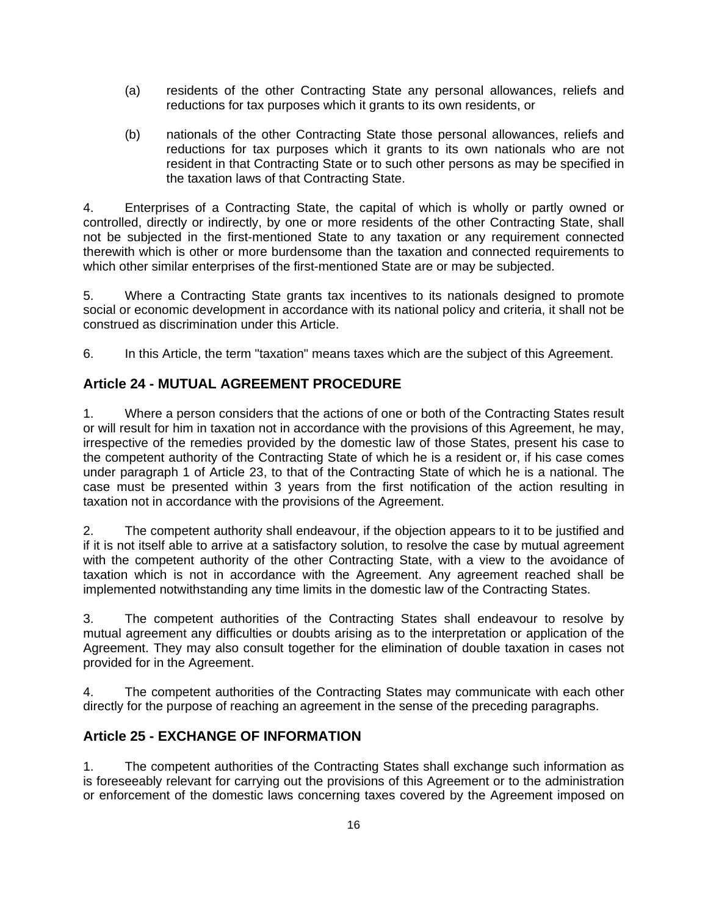- (a) residents of the other Contracting State any personal allowances, reliefs and reductions for tax purposes which it grants to its own residents, or
- (b) nationals of the other Contracting State those personal allowances, reliefs and reductions for tax purposes which it grants to its own nationals who are not resident in that Contracting State or to such other persons as may be specified in the taxation laws of that Contracting State.

4. Enterprises of a Contracting State, the capital of which is wholly or partly owned or controlled, directly or indirectly, by one or more residents of the other Contracting State, shall not be subjected in the first-mentioned State to any taxation or any requirement connected therewith which is other or more burdensome than the taxation and connected requirements to which other similar enterprises of the first-mentioned State are or may be subjected.

5. Where a Contracting State grants tax incentives to its nationals designed to promote social or economic development in accordance with its national policy and criteria, it shall not be construed as discrimination under this Article.

6. In this Article, the term "taxation" means taxes which are the subject of this Agreement.

# **Article 24 - MUTUAL AGREEMENT PROCEDURE**

1. Where a person considers that the actions of one or both of the Contracting States result or will result for him in taxation not in accordance with the provisions of this Agreement, he may, irrespective of the remedies provided by the domestic law of those States, present his case to the competent authority of the Contracting State of which he is a resident or, if his case comes under paragraph 1 of Article 23, to that of the Contracting State of which he is a national. The case must be presented within 3 years from the first notification of the action resulting in taxation not in accordance with the provisions of the Agreement.

2. The competent authority shall endeavour, if the objection appears to it to be justified and if it is not itself able to arrive at a satisfactory solution, to resolve the case by mutual agreement with the competent authority of the other Contracting State, with a view to the avoidance of taxation which is not in accordance with the Agreement. Any agreement reached shall be implemented notwithstanding any time limits in the domestic law of the Contracting States.

3. The competent authorities of the Contracting States shall endeavour to resolve by mutual agreement any difficulties or doubts arising as to the interpretation or application of the Agreement. They may also consult together for the elimination of double taxation in cases not provided for in the Agreement.

4. The competent authorities of the Contracting States may communicate with each other directly for the purpose of reaching an agreement in the sense of the preceding paragraphs.

# **Article 25 - EXCHANGE OF INFORMATION**

1. The competent authorities of the Contracting States shall exchange such information as is foreseeably relevant for carrying out the provisions of this Agreement or to the administration or enforcement of the domestic laws concerning taxes covered by the Agreement imposed on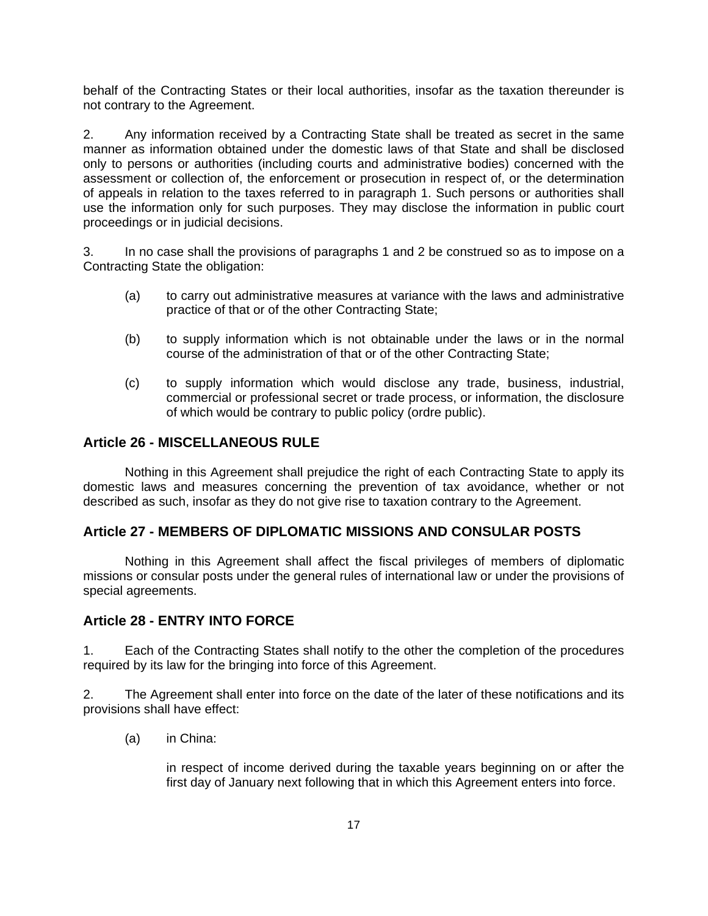behalf of the Contracting States or their local authorities, insofar as the taxation thereunder is not contrary to the Agreement.

2. Any information received by a Contracting State shall be treated as secret in the same manner as information obtained under the domestic laws of that State and shall be disclosed only to persons or authorities (including courts and administrative bodies) concerned with the assessment or collection of, the enforcement or prosecution in respect of, or the determination of appeals in relation to the taxes referred to in paragraph 1. Such persons or authorities shall use the information only for such purposes. They may disclose the information in public court proceedings or in judicial decisions.

3. In no case shall the provisions of paragraphs 1 and 2 be construed so as to impose on a Contracting State the obligation:

- (a) to carry out administrative measures at variance with the laws and administrative practice of that or of the other Contracting State;
- (b) to supply information which is not obtainable under the laws or in the normal course of the administration of that or of the other Contracting State;
- (c) to supply information which would disclose any trade, business, industrial, commercial or professional secret or trade process, or information, the disclosure of which would be contrary to public policy (ordre public).

### **Article 26 - MISCELLANEOUS RULE**

Nothing in this Agreement shall prejudice the right of each Contracting State to apply its domestic laws and measures concerning the prevention of tax avoidance, whether or not described as such, insofar as they do not give rise to taxation contrary to the Agreement.

## **Article 27 - MEMBERS OF DIPLOMATIC MISSIONS AND CONSULAR POSTS**

Nothing in this Agreement shall affect the fiscal privileges of members of diplomatic missions or consular posts under the general rules of international law or under the provisions of special agreements.

#### **Article 28 - ENTRY INTO FORCE**

1. Each of the Contracting States shall notify to the other the completion of the procedures required by its law for the bringing into force of this Agreement.

2. The Agreement shall enter into force on the date of the later of these notifications and its provisions shall have effect:

(a) in China:

in respect of income derived during the taxable years beginning on or after the first day of January next following that in which this Agreement enters into force.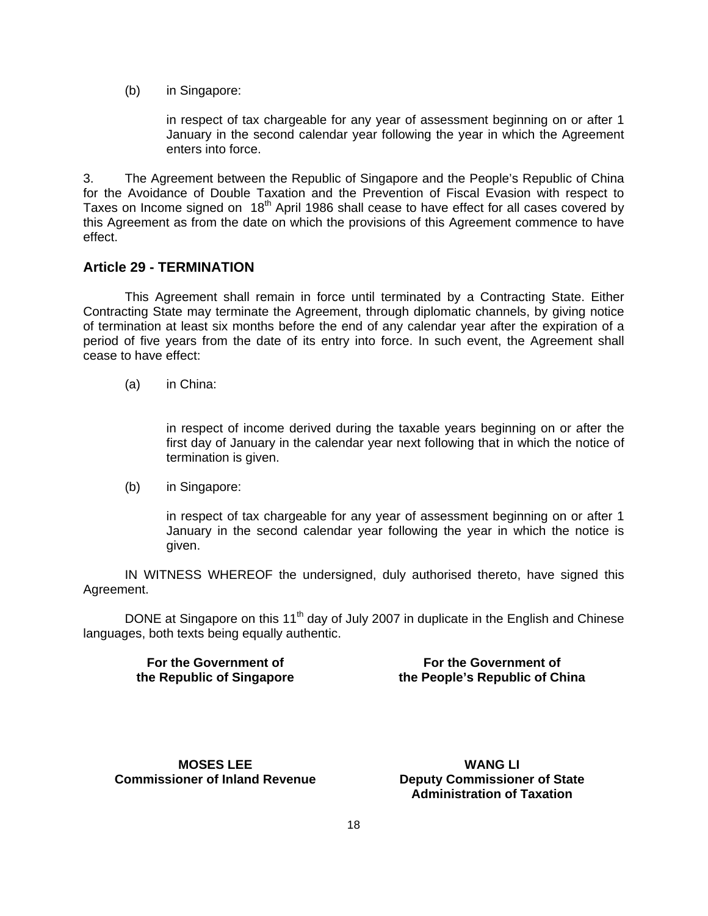(b) in Singapore:

in respect of tax chargeable for any year of assessment beginning on or after 1 January in the second calendar year following the year in which the Agreement enters into force.

3. The Agreement between the Republic of Singapore and the People's Republic of China for the Avoidance of Double Taxation and the Prevention of Fiscal Evasion with respect to Taxes on Income signed on 18<sup>th</sup> April 1986 shall cease to have effect for all cases covered by this Agreement as from the date on which the provisions of this Agreement commence to have effect.

## **Article 29 - TERMINATION**

This Agreement shall remain in force until terminated by a Contracting State. Either Contracting State may terminate the Agreement, through diplomatic channels, by giving notice of termination at least six months before the end of any calendar year after the expiration of a period of five years from the date of its entry into force. In such event, the Agreement shall cease to have effect:

(a) in China:

in respect of income derived during the taxable years beginning on or after the first day of January in the calendar year next following that in which the notice of termination is given.

(b) in Singapore:

in respect of tax chargeable for any year of assessment beginning on or after 1 January in the second calendar year following the year in which the notice is given.

IN WITNESS WHEREOF the undersigned, duly authorised thereto, have signed this Agreement.

DONE at Singapore on this 11<sup>th</sup> day of July 2007 in duplicate in the English and Chinese languages, both texts being equally authentic.

**For the Government of the Republic of Singapore**

**For the Government of the People's Republic of China**

**MOSES LEE Commissioner of Inland Revenue**

**WANG LI Deputy Commissioner of State Administration of Taxation**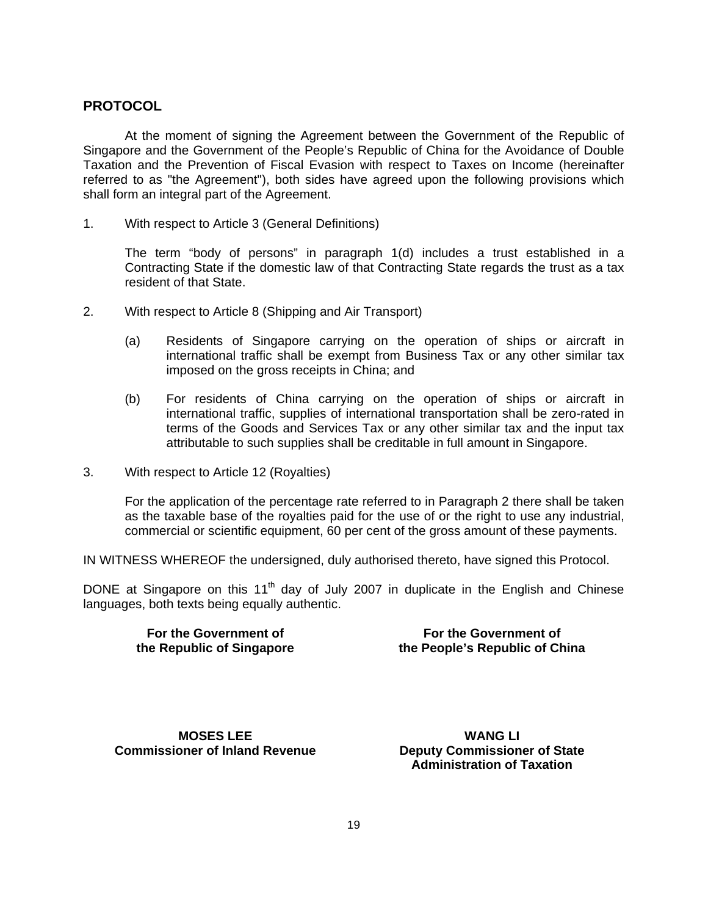## **PROTOCOL**

At the moment of signing the Agreement between the Government of the Republic of Singapore and the Government of the People's Republic of China for the Avoidance of Double Taxation and the Prevention of Fiscal Evasion with respect to Taxes on Income (hereinafter referred to as "the Agreement"), both sides have agreed upon the following provisions which shall form an integral part of the Agreement.

1. With respect to Article 3 (General Definitions)

The term "body of persons" in paragraph 1(d) includes a trust established in a Contracting State if the domestic law of that Contracting State regards the trust as a tax resident of that State.

- 2. With respect to Article 8 (Shipping and Air Transport)
	- (a) Residents of Singapore carrying on the operation of ships or aircraft in international traffic shall be exempt from Business Tax or any other similar tax imposed on the gross receipts in China; and
	- (b) For residents of China carrying on the operation of ships or aircraft in international traffic, supplies of international transportation shall be zero-rated in terms of the Goods and Services Tax or any other similar tax and the input tax attributable to such supplies shall be creditable in full amount in Singapore.
- 3. With respect to Article 12 (Royalties)

For the application of the percentage rate referred to in Paragraph 2 there shall be taken as the taxable base of the royalties paid for the use of or the right to use any industrial, commercial or scientific equipment, 60 per cent of the gross amount of these payments.

IN WITNESS WHEREOF the undersigned, duly authorised thereto, have signed this Protocol.

DONE at Singapore on this  $11<sup>th</sup>$  day of July 2007 in duplicate in the English and Chinese languages, both texts being equally authentic.

**For the Government of the Republic of Singapore**

**For the Government of the People's Republic of China**

**MOSES LEE Commissioner of Inland Revenue**

**WANG LI Deputy Commissioner of State Administration of Taxation**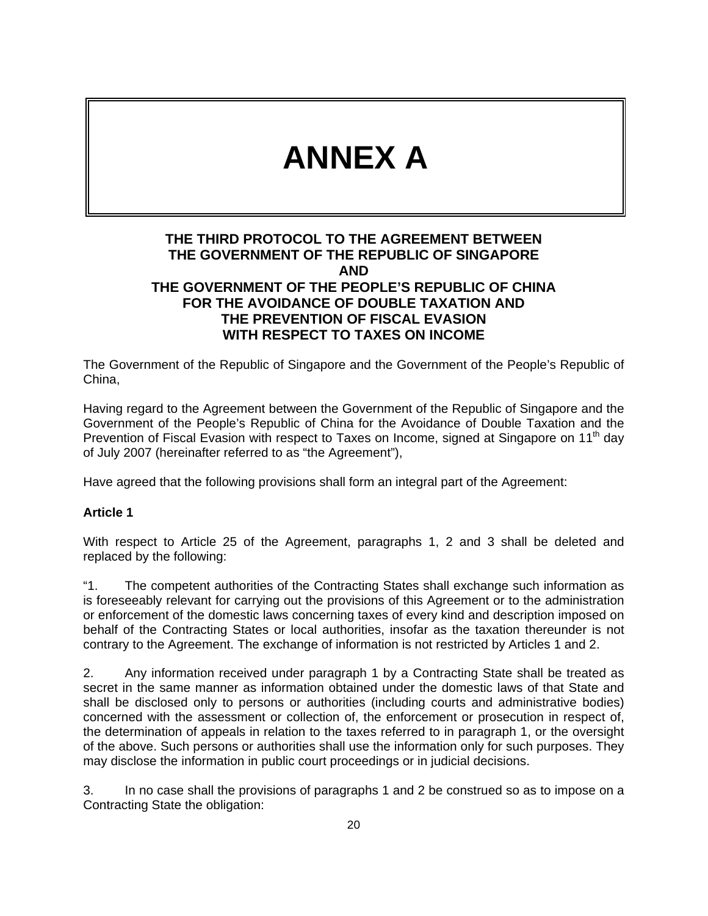# **ANNEX A**

# **THE THIRD PROTOCOL TO THE AGREEMENT BETWEEN THE GOVERNMENT OF THE REPUBLIC OF SINGAPORE AND THE GOVERNMENT OF THE PEOPLE'S REPUBLIC OF CHINA FOR THE AVOIDANCE OF DOUBLE TAXATION AND THE PREVENTION OF FISCAL EVASION WITH RESPECT TO TAXES ON INCOME**

The Government of the Republic of Singapore and the Government of the People's Republic of China,

Having regard to the Agreement between the Government of the Republic of Singapore and the Government of the People's Republic of China for the Avoidance of Double Taxation and the Prevention of Fiscal Evasion with respect to Taxes on Income, signed at Singapore on 11<sup>th</sup> day of July 2007 (hereinafter referred to as "the Agreement"),

Have agreed that the following provisions shall form an integral part of the Agreement:

## **Article 1**

With respect to Article 25 of the Agreement, paragraphs 1, 2 and 3 shall be deleted and replaced by the following:

"1. The competent authorities of the Contracting States shall exchange such information as is foreseeably relevant for carrying out the provisions of this Agreement or to the administration or enforcement of the domestic laws concerning taxes of every kind and description imposed on behalf of the Contracting States or local authorities, insofar as the taxation thereunder is not contrary to the Agreement. The exchange of information is not restricted by Articles 1 and 2.

2. Any information received under paragraph 1 by a Contracting State shall be treated as secret in the same manner as information obtained under the domestic laws of that State and shall be disclosed only to persons or authorities (including courts and administrative bodies) concerned with the assessment or collection of, the enforcement or prosecution in respect of, the determination of appeals in relation to the taxes referred to in paragraph 1, or the oversight of the above. Such persons or authorities shall use the information only for such purposes. They may disclose the information in public court proceedings or in judicial decisions.

3. In no case shall the provisions of paragraphs 1 and 2 be construed so as to impose on a Contracting State the obligation: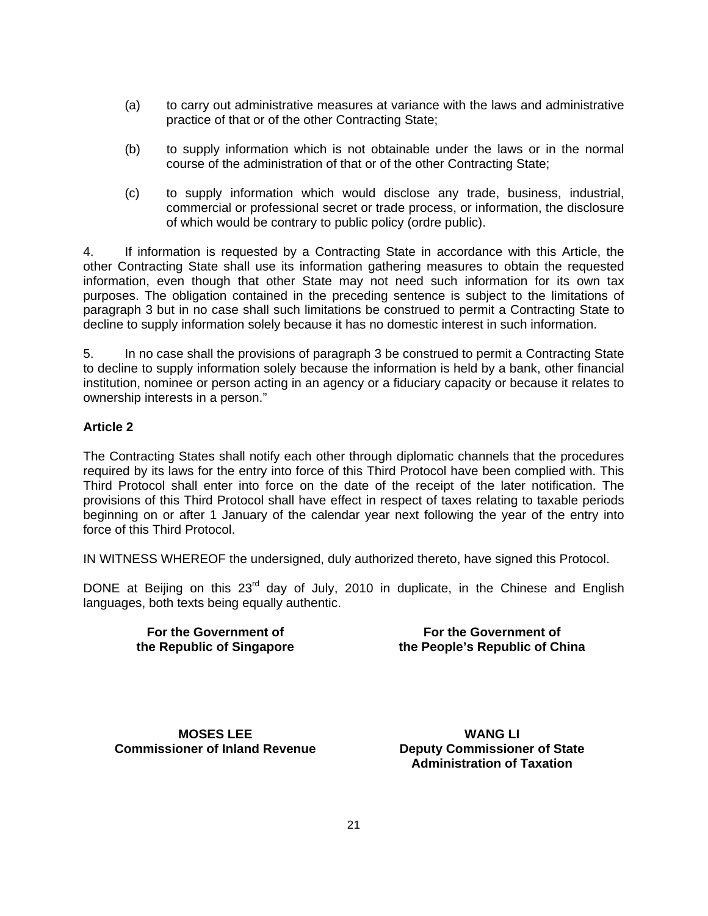- (a) to carry out administrative measures at variance with the laws and administrative practice of that or of the other Contracting State;
- (b) to supply information which is not obtainable under the laws or in the normal course of the administration of that or of the other Contracting State;
- (c) to supply information which would disclose any trade, business, industrial, commercial or professional secret or trade process, or information, the disclosure of which would be contrary to public policy (ordre public).

4. If information is requested by a Contracting State in accordance with this Article, the other Contracting State shall use its information gathering measures to obtain the requested information, even though that other State may not need such information for its own tax purposes. The obligation contained in the preceding sentence is subject to the limitations of paragraph 3 but in no case shall such limitations be construed to permit a Contracting State to decline to supply information solely because it has no domestic interest in such information.

5. In no case shall the provisions of paragraph 3 be construed to permit a Contracting State to decline to supply information solely because the information is held by a bank, other financial institution, nominee or person acting in an agency or a fiduciary capacity or because it relates to ownership interests in a person."

## **Article 2**

The Contracting States shall notify each other through diplomatic channels that the procedures required by its laws for the entry into force of this Third Protocol have been complied with. This Third Protocol shall enter into force on the date of the receipt of the later notification. The provisions of this Third Protocol shall have effect in respect of taxes relating to taxable periods beginning on or after 1 January of the calendar year next following the year of the entry into force of this Third Protocol.

IN WITNESS WHEREOF the undersigned, duly authorized thereto, have signed this Protocol.

DONE at Beijing on this 23<sup>rd</sup> day of July, 2010 in duplicate, in the Chinese and English languages, both texts being equally authentic.

**For the Government of the Republic of Singapore**

**For the Government of the People's Republic of China**

**MOSES LEE Commissioner of Inland Revenue**

**WANG LI Deputy Commissioner of State Administration of Taxation**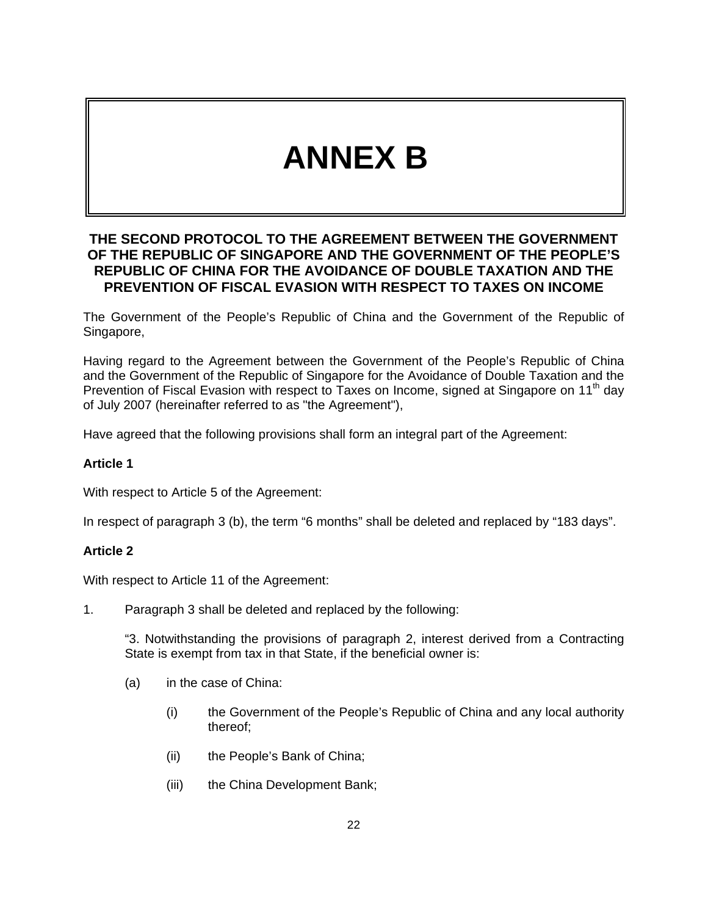# **ANNEX B**

# **THE SECOND PROTOCOL TO THE AGREEMENT BETWEEN THE GOVERNMENT OF THE REPUBLIC OF SINGAPORE AND THE GOVERNMENT OF THE PEOPLE'S REPUBLIC OF CHINA FOR THE AVOIDANCE OF DOUBLE TAXATION AND THE PREVENTION OF FISCAL EVASION WITH RESPECT TO TAXES ON INCOME**

The Government of the People's Republic of China and the Government of the Republic of Singapore,

Having regard to the Agreement between the Government of the People's Republic of China and the Government of the Republic of Singapore for the Avoidance of Double Taxation and the Prevention of Fiscal Evasion with respect to Taxes on Income, signed at Singapore on 11<sup>th</sup> day of July 2007 (hereinafter referred to as "the Agreement"),

Have agreed that the following provisions shall form an integral part of the Agreement:

## **Article 1**

With respect to Article 5 of the Agreement:

In respect of paragraph 3 (b), the term "6 months" shall be deleted and replaced by "183 days".

#### **Article 2**

With respect to Article 11 of the Agreement:

1. Paragraph 3 shall be deleted and replaced by the following:

"3. Notwithstanding the provisions of paragraph 2, interest derived from a Contracting State is exempt from tax in that State, if the beneficial owner is:

- (a) in the case of China:
	- (i) the Government of the People's Republic of China and any local authority thereof;
	- (ii) the People's Bank of China;
	- (iii) the China Development Bank;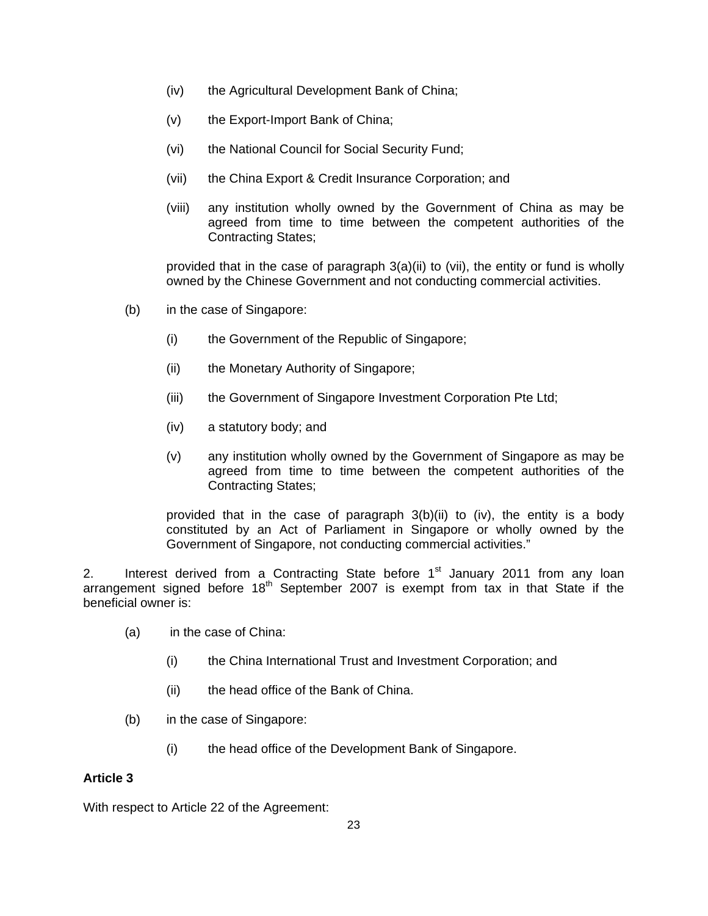- (iv) the Agricultural Development Bank of China;
- (v) the Export-Import Bank of China;
- (vi) the National Council for Social Security Fund;
- (vii) the China Export & Credit Insurance Corporation; and
- (viii) any institution wholly owned by the Government of China as may be agreed from time to time between the competent authorities of the Contracting States;

provided that in the case of paragraph 3(a)(ii) to (vii), the entity or fund is wholly owned by the Chinese Government and not conducting commercial activities.

- (b) in the case of Singapore:
	- (i) the Government of the Republic of Singapore;
	- (ii) the Monetary Authority of Singapore;
	- (iii) the Government of Singapore Investment Corporation Pte Ltd;
	- (iv) a statutory body; and
	- (v) any institution wholly owned by the Government of Singapore as may be agreed from time to time between the competent authorities of the Contracting States;

provided that in the case of paragraph 3(b)(ii) to (iv), the entity is a body constituted by an Act of Parliament in Singapore or wholly owned by the Government of Singapore, not conducting commercial activities."

2. Interest derived from a Contracting State before  $1<sup>st</sup>$  January 2011 from any loan arrangement signed before  $18<sup>th</sup>$  September 2007 is exempt from tax in that State if the beneficial owner is:

- (a) in the case of China:
	- (i) the China International Trust and Investment Corporation; and
	- (ii) the head office of the Bank of China.
- (b) in the case of Singapore:
	- (i) the head office of the Development Bank of Singapore.

## **Article 3**

With respect to Article 22 of the Agreement: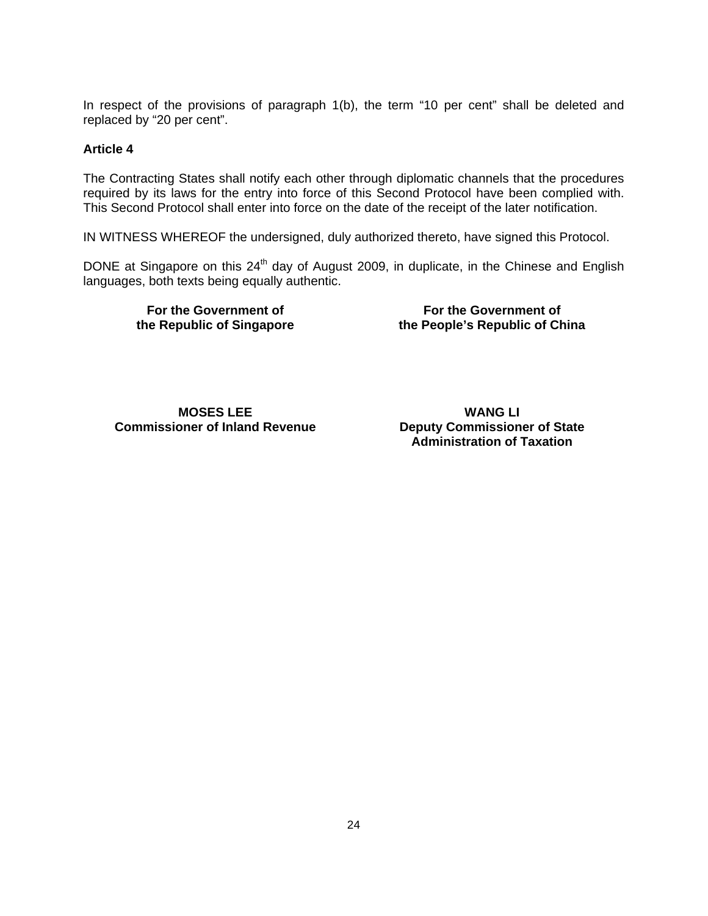In respect of the provisions of paragraph 1(b), the term "10 per cent" shall be deleted and replaced by "20 per cent".

#### **Article 4**

The Contracting States shall notify each other through diplomatic channels that the procedures required by its laws for the entry into force of this Second Protocol have been complied with. This Second Protocol shall enter into force on the date of the receipt of the later notification.

IN WITNESS WHEREOF the undersigned, duly authorized thereto, have signed this Protocol.

DONE at Singapore on this 24<sup>th</sup> day of August 2009, in duplicate, in the Chinese and English languages, both texts being equally authentic.

**For the Government of the Republic of Singapore**

**For the Government of the People's Republic of China**

**MOSES LEE Commissioner of Inland Revenue**

**WANG LI Deputy Commissioner of State Administration of Taxation**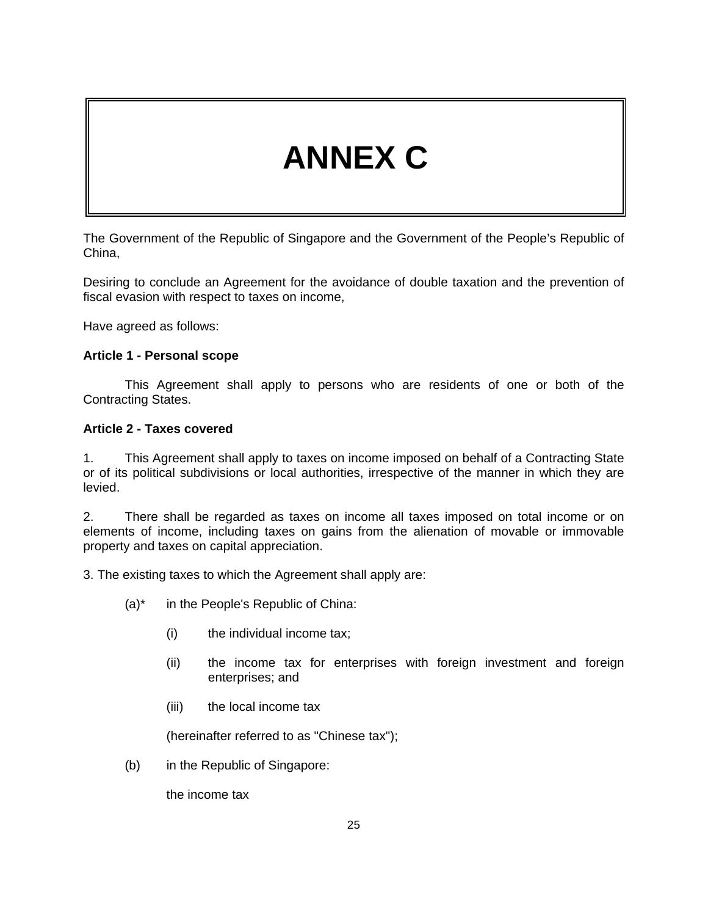# **ANNEX C**

The Government of the Republic of Singapore and the Government of the People's Republic of China,

Desiring to conclude an Agreement for the avoidance of double taxation and the prevention of fiscal evasion with respect to taxes on income,

Have agreed as follows:

#### **Article 1 - Personal scope**

This Agreement shall apply to persons who are residents of one or both of the Contracting States.

#### **Article 2 - Taxes covered**

1. This Agreement shall apply to taxes on income imposed on behalf of a Contracting State or of its political subdivisions or local authorities, irrespective of the manner in which they are levied.

2. There shall be regarded as taxes on income all taxes imposed on total income or on elements of income, including taxes on gains from the alienation of movable or immovable property and taxes on capital appreciation.

3. The existing taxes to which the Agreement shall apply are:

- (a)\* in the People's Republic of China:
	- (i) the individual income tax;
	- (ii) the income tax for enterprises with foreign investment and foreign enterprises; and
	- (iii) the local income tax

(hereinafter referred to as "Chinese tax");

(b) in the Republic of Singapore:

the income tax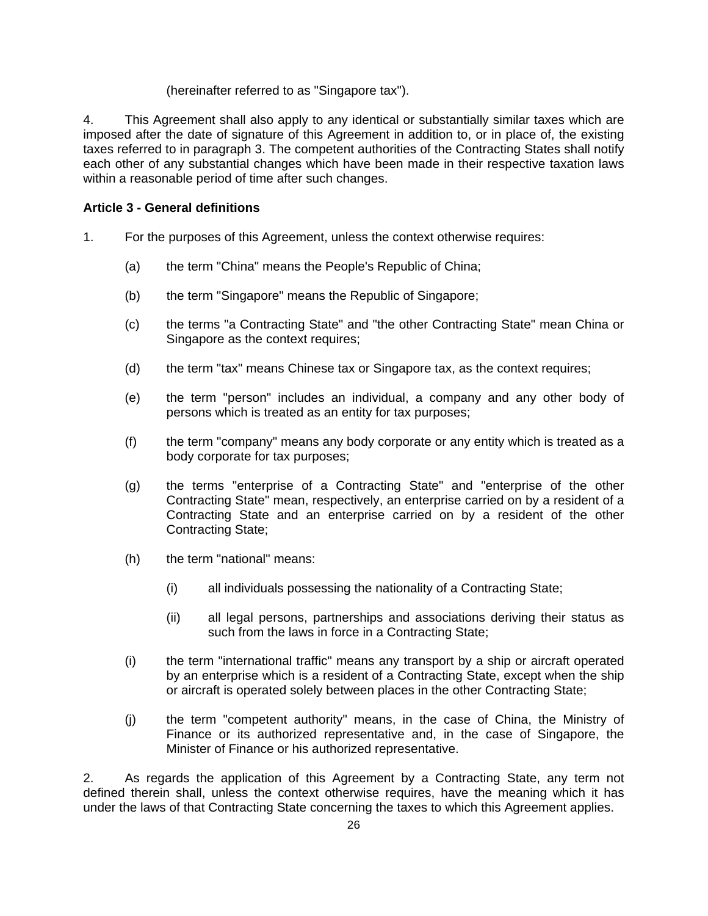## (hereinafter referred to as "Singapore tax").

4. This Agreement shall also apply to any identical or substantially similar taxes which are imposed after the date of signature of this Agreement in addition to, or in place of, the existing taxes referred to in paragraph 3. The competent authorities of the Contracting States shall notify each other of any substantial changes which have been made in their respective taxation laws within a reasonable period of time after such changes.

## **Article 3 - General definitions**

- 1. For the purposes of this Agreement, unless the context otherwise requires:
	- (a) the term "China" means the People's Republic of China;
	- (b) the term "Singapore" means the Republic of Singapore;
	- (c) the terms "a Contracting State" and "the other Contracting State" mean China or Singapore as the context requires;
	- (d) the term "tax" means Chinese tax or Singapore tax, as the context requires;
	- (e) the term "person" includes an individual, a company and any other body of persons which is treated as an entity for tax purposes;
	- (f) the term "company" means any body corporate or any entity which is treated as a body corporate for tax purposes;
	- (g) the terms "enterprise of a Contracting State" and "enterprise of the other Contracting State" mean, respectively, an enterprise carried on by a resident of a Contracting State and an enterprise carried on by a resident of the other Contracting State;
	- (h) the term "national" means:
		- (i) all individuals possessing the nationality of a Contracting State;
		- (ii) all legal persons, partnerships and associations deriving their status as such from the laws in force in a Contracting State;
	- (i) the term "international traffic" means any transport by a ship or aircraft operated by an enterprise which is a resident of a Contracting State, except when the ship or aircraft is operated solely between places in the other Contracting State;
	- (j) the term "competent authority" means, in the case of China, the Ministry of Finance or its authorized representative and, in the case of Singapore, the Minister of Finance or his authorized representative.

2. As regards the application of this Agreement by a Contracting State, any term not defined therein shall, unless the context otherwise requires, have the meaning which it has under the laws of that Contracting State concerning the taxes to which this Agreement applies.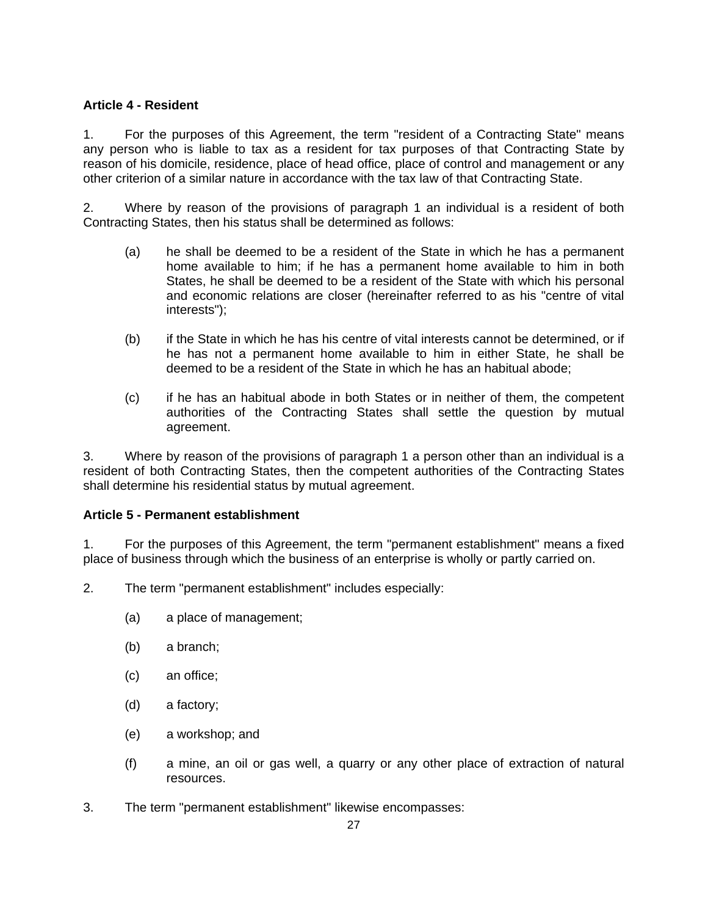## **Article 4 - Resident**

1. For the purposes of this Agreement, the term "resident of a Contracting State" means any person who is liable to tax as a resident for tax purposes of that Contracting State by reason of his domicile, residence, place of head office, place of control and management or any other criterion of a similar nature in accordance with the tax law of that Contracting State.

2. Where by reason of the provisions of paragraph 1 an individual is a resident of both Contracting States, then his status shall be determined as follows:

- (a) he shall be deemed to be a resident of the State in which he has a permanent home available to him; if he has a permanent home available to him in both States, he shall be deemed to be a resident of the State with which his personal and economic relations are closer (hereinafter referred to as his "centre of vital interests");
- (b) if the State in which he has his centre of vital interests cannot be determined, or if he has not a permanent home available to him in either State, he shall be deemed to be a resident of the State in which he has an habitual abode;
- (c) if he has an habitual abode in both States or in neither of them, the competent authorities of the Contracting States shall settle the question by mutual agreement.

3. Where by reason of the provisions of paragraph 1 a person other than an individual is a resident of both Contracting States, then the competent authorities of the Contracting States shall determine his residential status by mutual agreement.

## **Article 5 - Permanent establishment**

1. For the purposes of this Agreement, the term "permanent establishment" means a fixed place of business through which the business of an enterprise is wholly or partly carried on.

2. The term "permanent establishment" includes especially:

- (a) a place of management;
- (b) a branch;
- (c) an office;
- (d) a factory;
- (e) a workshop; and
- (f) a mine, an oil or gas well, a quarry or any other place of extraction of natural resources.
- 3. The term "permanent establishment" likewise encompasses: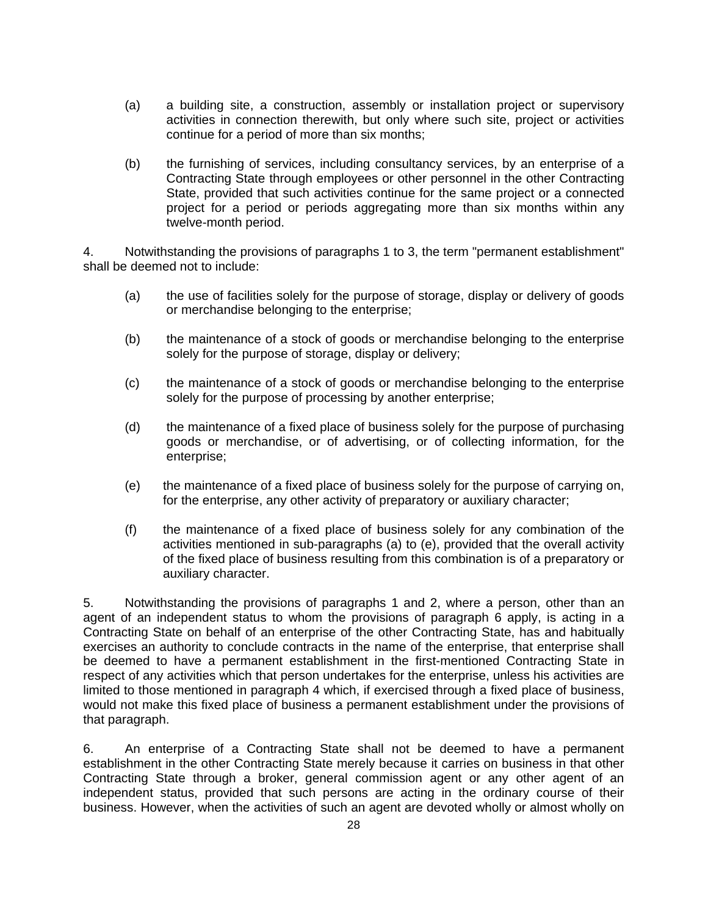- (a) a building site, a construction, assembly or installation project or supervisory activities in connection therewith, but only where such site, project or activities continue for a period of more than six months;
- (b) the furnishing of services, including consultancy services, by an enterprise of a Contracting State through employees or other personnel in the other Contracting State, provided that such activities continue for the same project or a connected project for a period or periods aggregating more than six months within any twelve-month period.

4. Notwithstanding the provisions of paragraphs 1 to 3, the term "permanent establishment" shall be deemed not to include:

- (a) the use of facilities solely for the purpose of storage, display or delivery of goods or merchandise belonging to the enterprise;
- (b) the maintenance of a stock of goods or merchandise belonging to the enterprise solely for the purpose of storage, display or delivery;
- (c) the maintenance of a stock of goods or merchandise belonging to the enterprise solely for the purpose of processing by another enterprise;
- (d) the maintenance of a fixed place of business solely for the purpose of purchasing goods or merchandise, or of advertising, or of collecting information, for the enterprise;
- (e) the maintenance of a fixed place of business solely for the purpose of carrying on, for the enterprise, any other activity of preparatory or auxiliary character;
- (f) the maintenance of a fixed place of business solely for any combination of the activities mentioned in sub-paragraphs (a) to (e), provided that the overall activity of the fixed place of business resulting from this combination is of a preparatory or auxiliary character.

5. Notwithstanding the provisions of paragraphs 1 and 2, where a person, other than an agent of an independent status to whom the provisions of paragraph 6 apply, is acting in a Contracting State on behalf of an enterprise of the other Contracting State, has and habitually exercises an authority to conclude contracts in the name of the enterprise, that enterprise shall be deemed to have a permanent establishment in the first-mentioned Contracting State in respect of any activities which that person undertakes for the enterprise, unless his activities are limited to those mentioned in paragraph 4 which, if exercised through a fixed place of business, would not make this fixed place of business a permanent establishment under the provisions of that paragraph.

6. An enterprise of a Contracting State shall not be deemed to have a permanent establishment in the other Contracting State merely because it carries on business in that other Contracting State through a broker, general commission agent or any other agent of an independent status, provided that such persons are acting in the ordinary course of their business. However, when the activities of such an agent are devoted wholly or almost wholly on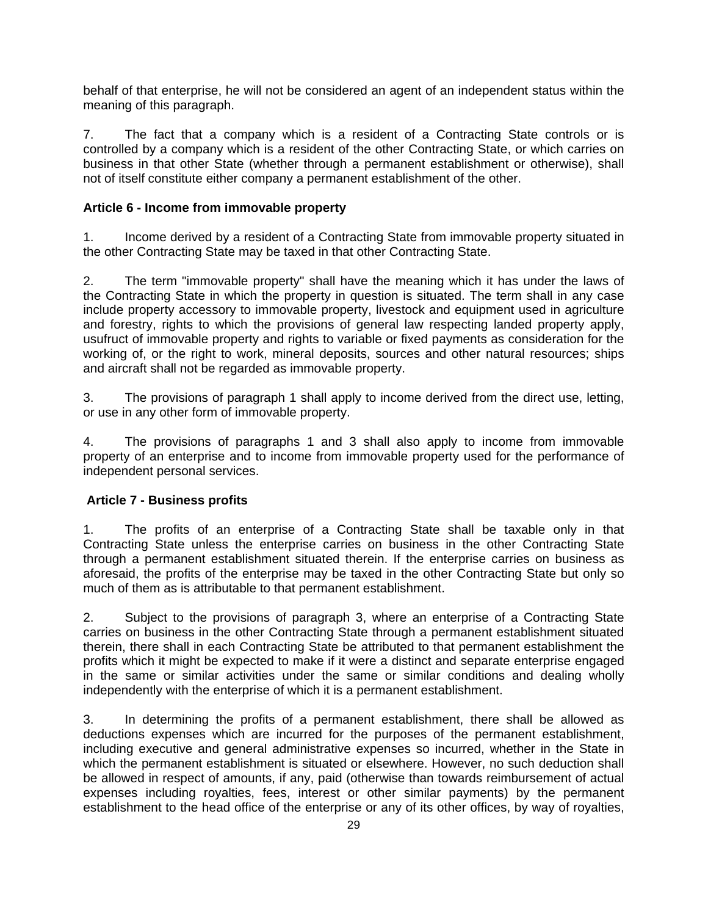behalf of that enterprise, he will not be considered an agent of an independent status within the meaning of this paragraph.

7. The fact that a company which is a resident of a Contracting State controls or is controlled by a company which is a resident of the other Contracting State, or which carries on business in that other State (whether through a permanent establishment or otherwise), shall not of itself constitute either company a permanent establishment of the other.

## **Article 6 - Income from immovable property**

1. Income derived by a resident of a Contracting State from immovable property situated in the other Contracting State may be taxed in that other Contracting State.

2. The term "immovable property" shall have the meaning which it has under the laws of the Contracting State in which the property in question is situated. The term shall in any case include property accessory to immovable property, livestock and equipment used in agriculture and forestry, rights to which the provisions of general law respecting landed property apply, usufruct of immovable property and rights to variable or fixed payments as consideration for the working of, or the right to work, mineral deposits, sources and other natural resources; ships and aircraft shall not be regarded as immovable property.

3. The provisions of paragraph 1 shall apply to income derived from the direct use, letting, or use in any other form of immovable property.

4. The provisions of paragraphs 1 and 3 shall also apply to income from immovable property of an enterprise and to income from immovable property used for the performance of independent personal services.

#### **Article 7 - Business profits**

1. The profits of an enterprise of a Contracting State shall be taxable only in that Contracting State unless the enterprise carries on business in the other Contracting State through a permanent establishment situated therein. If the enterprise carries on business as aforesaid, the profits of the enterprise may be taxed in the other Contracting State but only so much of them as is attributable to that permanent establishment.

2. Subject to the provisions of paragraph 3, where an enterprise of a Contracting State carries on business in the other Contracting State through a permanent establishment situated therein, there shall in each Contracting State be attributed to that permanent establishment the profits which it might be expected to make if it were a distinct and separate enterprise engaged in the same or similar activities under the same or similar conditions and dealing wholly independently with the enterprise of which it is a permanent establishment.

3. In determining the profits of a permanent establishment, there shall be allowed as deductions expenses which are incurred for the purposes of the permanent establishment, including executive and general administrative expenses so incurred, whether in the State in which the permanent establishment is situated or elsewhere. However, no such deduction shall be allowed in respect of amounts, if any, paid (otherwise than towards reimbursement of actual expenses including royalties, fees, interest or other similar payments) by the permanent establishment to the head office of the enterprise or any of its other offices, by way of royalties,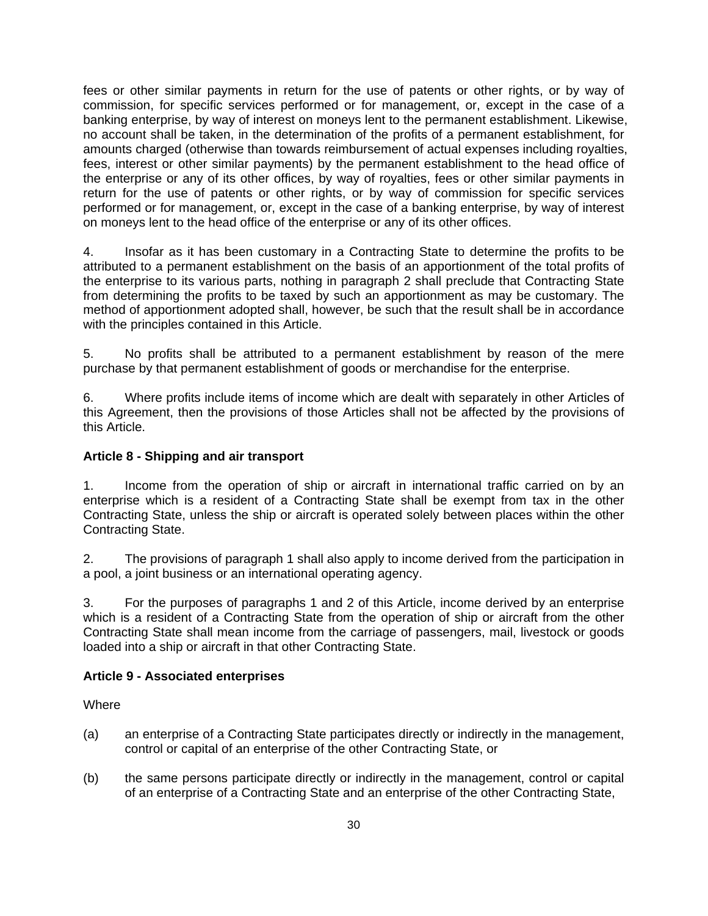fees or other similar payments in return for the use of patents or other rights, or by way of commission, for specific services performed or for management, or, except in the case of a banking enterprise, by way of interest on moneys lent to the permanent establishment. Likewise, no account shall be taken, in the determination of the profits of a permanent establishment, for amounts charged (otherwise than towards reimbursement of actual expenses including royalties, fees, interest or other similar payments) by the permanent establishment to the head office of the enterprise or any of its other offices, by way of royalties, fees or other similar payments in return for the use of patents or other rights, or by way of commission for specific services performed or for management, or, except in the case of a banking enterprise, by way of interest on moneys lent to the head office of the enterprise or any of its other offices.

4. Insofar as it has been customary in a Contracting State to determine the profits to be attributed to a permanent establishment on the basis of an apportionment of the total profits of the enterprise to its various parts, nothing in paragraph 2 shall preclude that Contracting State from determining the profits to be taxed by such an apportionment as may be customary. The method of apportionment adopted shall, however, be such that the result shall be in accordance with the principles contained in this Article.

5. No profits shall be attributed to a permanent establishment by reason of the mere purchase by that permanent establishment of goods or merchandise for the enterprise.

6. Where profits include items of income which are dealt with separately in other Articles of this Agreement, then the provisions of those Articles shall not be affected by the provisions of this Article.

## **Article 8 - Shipping and air transport**

1. Income from the operation of ship or aircraft in international traffic carried on by an enterprise which is a resident of a Contracting State shall be exempt from tax in the other Contracting State, unless the ship or aircraft is operated solely between places within the other Contracting State.

2. The provisions of paragraph 1 shall also apply to income derived from the participation in a pool, a joint business or an international operating agency.

3. For the purposes of paragraphs 1 and 2 of this Article, income derived by an enterprise which is a resident of a Contracting State from the operation of ship or aircraft from the other Contracting State shall mean income from the carriage of passengers, mail, livestock or goods loaded into a ship or aircraft in that other Contracting State.

#### **Article 9 - Associated enterprises**

Where

- (a) an enterprise of a Contracting State participates directly or indirectly in the management, control or capital of an enterprise of the other Contracting State, or
- (b) the same persons participate directly or indirectly in the management, control or capital of an enterprise of a Contracting State and an enterprise of the other Contracting State,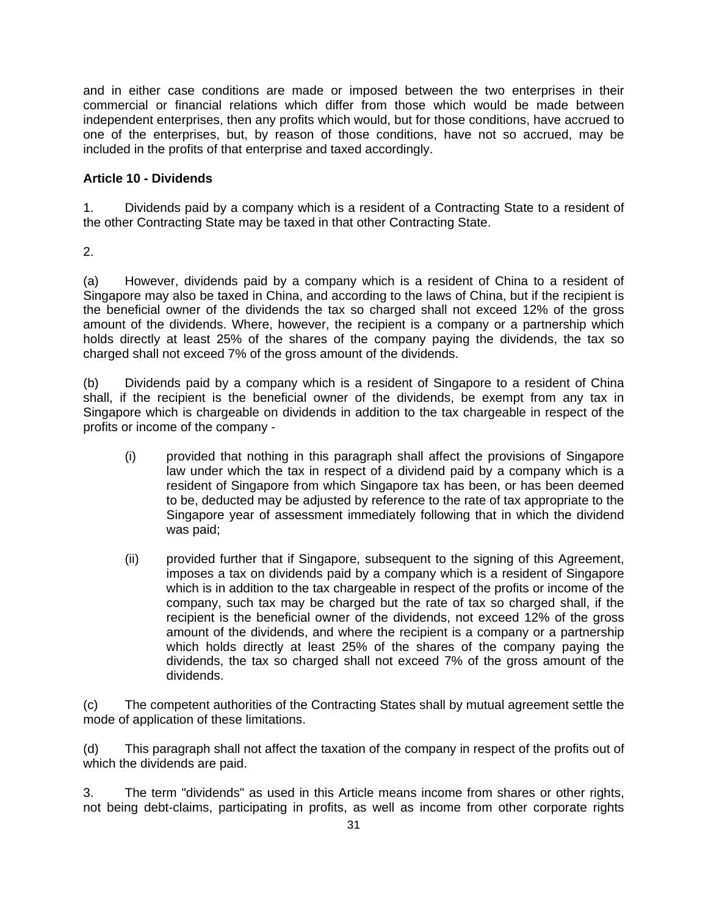and in either case conditions are made or imposed between the two enterprises in their commercial or financial relations which differ from those which would be made between independent enterprises, then any profits which would, but for those conditions, have accrued to one of the enterprises, but, by reason of those conditions, have not so accrued, may be included in the profits of that enterprise and taxed accordingly.

## **Article 10 - Dividends**

1. Dividends paid by a company which is a resident of a Contracting State to a resident of the other Contracting State may be taxed in that other Contracting State.

2.

(a) However, dividends paid by a company which is a resident of China to a resident of Singapore may also be taxed in China, and according to the laws of China, but if the recipient is the beneficial owner of the dividends the tax so charged shall not exceed 12% of the gross amount of the dividends. Where, however, the recipient is a company or a partnership which holds directly at least 25% of the shares of the company paying the dividends, the tax so charged shall not exceed 7% of the gross amount of the dividends.

(b) Dividends paid by a company which is a resident of Singapore to a resident of China shall, if the recipient is the beneficial owner of the dividends, be exempt from any tax in Singapore which is chargeable on dividends in addition to the tax chargeable in respect of the profits or income of the company -

- (i) provided that nothing in this paragraph shall affect the provisions of Singapore law under which the tax in respect of a dividend paid by a company which is a resident of Singapore from which Singapore tax has been, or has been deemed to be, deducted may be adjusted by reference to the rate of tax appropriate to the Singapore year of assessment immediately following that in which the dividend was paid;
- (ii) provided further that if Singapore, subsequent to the signing of this Agreement, imposes a tax on dividends paid by a company which is a resident of Singapore which is in addition to the tax chargeable in respect of the profits or income of the company, such tax may be charged but the rate of tax so charged shall, if the recipient is the beneficial owner of the dividends, not exceed 12% of the gross amount of the dividends, and where the recipient is a company or a partnership which holds directly at least 25% of the shares of the company paying the dividends, the tax so charged shall not exceed 7% of the gross amount of the dividends.

(c) The competent authorities of the Contracting States shall by mutual agreement settle the mode of application of these limitations.

(d) This paragraph shall not affect the taxation of the company in respect of the profits out of which the dividends are paid.

3. The term "dividends" as used in this Article means income from shares or other rights, not being debt-claims, participating in profits, as well as income from other corporate rights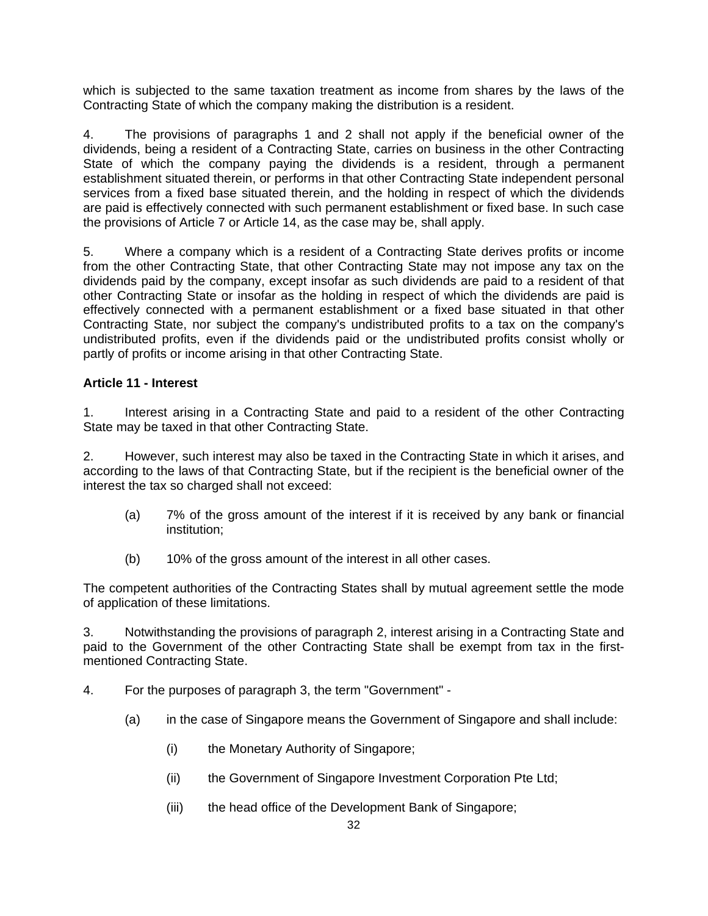which is subjected to the same taxation treatment as income from shares by the laws of the Contracting State of which the company making the distribution is a resident.

4. The provisions of paragraphs 1 and 2 shall not apply if the beneficial owner of the dividends, being a resident of a Contracting State, carries on business in the other Contracting State of which the company paying the dividends is a resident, through a permanent establishment situated therein, or performs in that other Contracting State independent personal services from a fixed base situated therein, and the holding in respect of which the dividends are paid is effectively connected with such permanent establishment or fixed base. In such case the provisions of Article 7 or Article 14, as the case may be, shall apply.

5. Where a company which is a resident of a Contracting State derives profits or income from the other Contracting State, that other Contracting State may not impose any tax on the dividends paid by the company, except insofar as such dividends are paid to a resident of that other Contracting State or insofar as the holding in respect of which the dividends are paid is effectively connected with a permanent establishment or a fixed base situated in that other Contracting State, nor subject the company's undistributed profits to a tax on the company's undistributed profits, even if the dividends paid or the undistributed profits consist wholly or partly of profits or income arising in that other Contracting State.

### **Article 11 - Interest**

1. Interest arising in a Contracting State and paid to a resident of the other Contracting State may be taxed in that other Contracting State.

2. However, such interest may also be taxed in the Contracting State in which it arises, and according to the laws of that Contracting State, but if the recipient is the beneficial owner of the interest the tax so charged shall not exceed:

- (a) 7% of the gross amount of the interest if it is received by any bank or financial institution;
- (b) 10% of the gross amount of the interest in all other cases.

The competent authorities of the Contracting States shall by mutual agreement settle the mode of application of these limitations.

3. Notwithstanding the provisions of paragraph 2, interest arising in a Contracting State and paid to the Government of the other Contracting State shall be exempt from tax in the firstmentioned Contracting State.

- 4. For the purposes of paragraph 3, the term "Government"
	- (a) in the case of Singapore means the Government of Singapore and shall include:
		- (i) the Monetary Authority of Singapore;
		- (ii) the Government of Singapore Investment Corporation Pte Ltd;
		- (iii) the head office of the Development Bank of Singapore;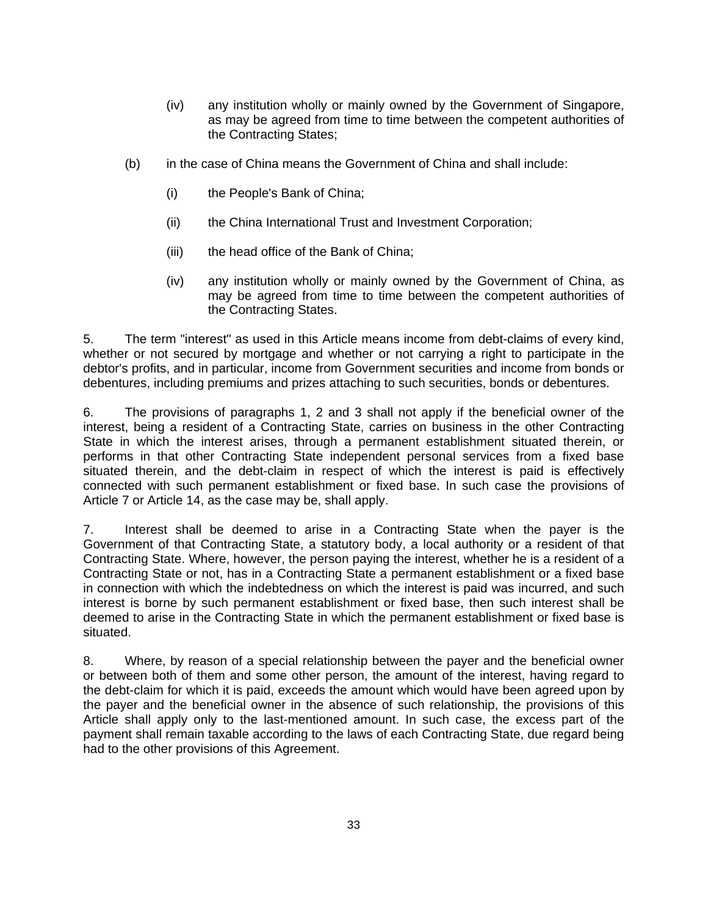- (iv) any institution wholly or mainly owned by the Government of Singapore, as may be agreed from time to time between the competent authorities of the Contracting States;
- (b) in the case of China means the Government of China and shall include:
	- (i) the People's Bank of China;
	- (ii) the China International Trust and Investment Corporation;
	- (iii) the head office of the Bank of China;
	- (iv) any institution wholly or mainly owned by the Government of China, as may be agreed from time to time between the competent authorities of the Contracting States.

5. The term "interest" as used in this Article means income from debt-claims of every kind, whether or not secured by mortgage and whether or not carrying a right to participate in the debtor's profits, and in particular, income from Government securities and income from bonds or debentures, including premiums and prizes attaching to such securities, bonds or debentures.

6. The provisions of paragraphs 1, 2 and 3 shall not apply if the beneficial owner of the interest, being a resident of a Contracting State, carries on business in the other Contracting State in which the interest arises, through a permanent establishment situated therein, or performs in that other Contracting State independent personal services from a fixed base situated therein, and the debt-claim in respect of which the interest is paid is effectively connected with such permanent establishment or fixed base. In such case the provisions of Article 7 or Article 14, as the case may be, shall apply.

7. Interest shall be deemed to arise in a Contracting State when the payer is the Government of that Contracting State, a statutory body, a local authority or a resident of that Contracting State. Where, however, the person paying the interest, whether he is a resident of a Contracting State or not, has in a Contracting State a permanent establishment or a fixed base in connection with which the indebtedness on which the interest is paid was incurred, and such interest is borne by such permanent establishment or fixed base, then such interest shall be deemed to arise in the Contracting State in which the permanent establishment or fixed base is situated.

8. Where, by reason of a special relationship between the payer and the beneficial owner or between both of them and some other person, the amount of the interest, having regard to the debt-claim for which it is paid, exceeds the amount which would have been agreed upon by the payer and the beneficial owner in the absence of such relationship, the provisions of this Article shall apply only to the last-mentioned amount. In such case, the excess part of the payment shall remain taxable according to the laws of each Contracting State, due regard being had to the other provisions of this Agreement.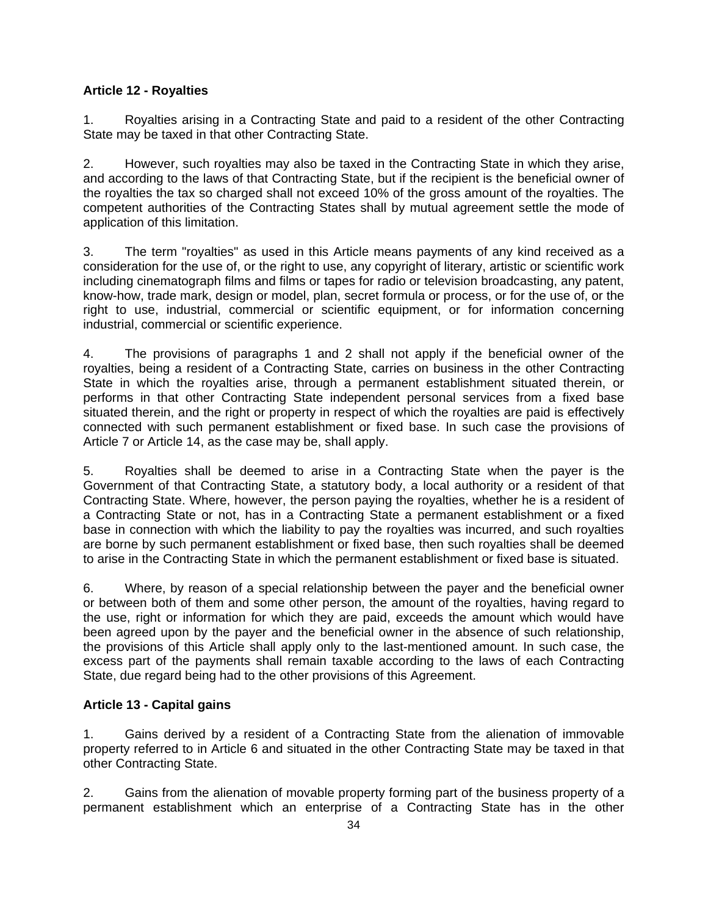## **Article 12 - Royalties**

1. Royalties arising in a Contracting State and paid to a resident of the other Contracting State may be taxed in that other Contracting State.

2. However, such royalties may also be taxed in the Contracting State in which they arise, and according to the laws of that Contracting State, but if the recipient is the beneficial owner of the royalties the tax so charged shall not exceed 10% of the gross amount of the royalties. The competent authorities of the Contracting States shall by mutual agreement settle the mode of application of this limitation.

3. The term "royalties" as used in this Article means payments of any kind received as a consideration for the use of, or the right to use, any copyright of literary, artistic or scientific work including cinematograph films and films or tapes for radio or television broadcasting, any patent, know-how, trade mark, design or model, plan, secret formula or process, or for the use of, or the right to use, industrial, commercial or scientific equipment, or for information concerning industrial, commercial or scientific experience.

4. The provisions of paragraphs 1 and 2 shall not apply if the beneficial owner of the royalties, being a resident of a Contracting State, carries on business in the other Contracting State in which the royalties arise, through a permanent establishment situated therein, or performs in that other Contracting State independent personal services from a fixed base situated therein, and the right or property in respect of which the royalties are paid is effectively connected with such permanent establishment or fixed base. In such case the provisions of Article 7 or Article 14, as the case may be, shall apply.

5. Royalties shall be deemed to arise in a Contracting State when the payer is the Government of that Contracting State, a statutory body, a local authority or a resident of that Contracting State. Where, however, the person paying the royalties, whether he is a resident of a Contracting State or not, has in a Contracting State a permanent establishment or a fixed base in connection with which the liability to pay the royalties was incurred, and such royalties are borne by such permanent establishment or fixed base, then such royalties shall be deemed to arise in the Contracting State in which the permanent establishment or fixed base is situated.

6. Where, by reason of a special relationship between the payer and the beneficial owner or between both of them and some other person, the amount of the royalties, having regard to the use, right or information for which they are paid, exceeds the amount which would have been agreed upon by the payer and the beneficial owner in the absence of such relationship, the provisions of this Article shall apply only to the last-mentioned amount. In such case, the excess part of the payments shall remain taxable according to the laws of each Contracting State, due regard being had to the other provisions of this Agreement.

## **Article 13 - Capital gains**

1. Gains derived by a resident of a Contracting State from the alienation of immovable property referred to in Article 6 and situated in the other Contracting State may be taxed in that other Contracting State.

2. Gains from the alienation of movable property forming part of the business property of a permanent establishment which an enterprise of a Contracting State has in the other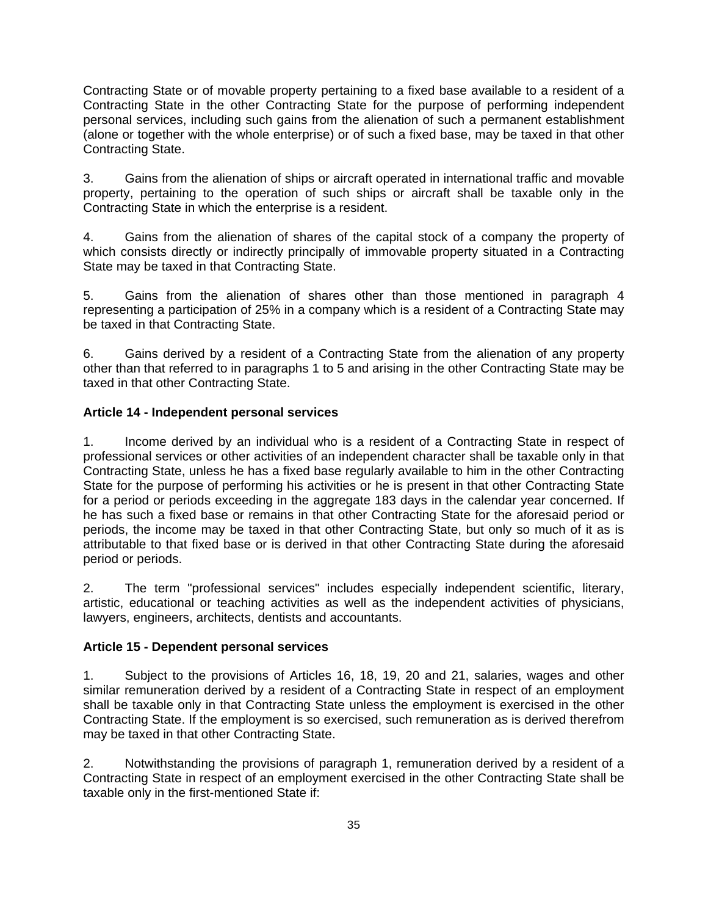Contracting State or of movable property pertaining to a fixed base available to a resident of a Contracting State in the other Contracting State for the purpose of performing independent personal services, including such gains from the alienation of such a permanent establishment (alone or together with the whole enterprise) or of such a fixed base, may be taxed in that other Contracting State.

3. Gains from the alienation of ships or aircraft operated in international traffic and movable property, pertaining to the operation of such ships or aircraft shall be taxable only in the Contracting State in which the enterprise is a resident.

4. Gains from the alienation of shares of the capital stock of a company the property of which consists directly or indirectly principally of immovable property situated in a Contracting State may be taxed in that Contracting State.

5. Gains from the alienation of shares other than those mentioned in paragraph 4 representing a participation of 25% in a company which is a resident of a Contracting State may be taxed in that Contracting State.

6. Gains derived by a resident of a Contracting State from the alienation of any property other than that referred to in paragraphs 1 to 5 and arising in the other Contracting State may be taxed in that other Contracting State.

### **Article 14 - Independent personal services**

1. Income derived by an individual who is a resident of a Contracting State in respect of professional services or other activities of an independent character shall be taxable only in that Contracting State, unless he has a fixed base regularly available to him in the other Contracting State for the purpose of performing his activities or he is present in that other Contracting State for a period or periods exceeding in the aggregate 183 days in the calendar year concerned. If he has such a fixed base or remains in that other Contracting State for the aforesaid period or periods, the income may be taxed in that other Contracting State, but only so much of it as is attributable to that fixed base or is derived in that other Contracting State during the aforesaid period or periods.

2. The term "professional services" includes especially independent scientific, literary, artistic, educational or teaching activities as well as the independent activities of physicians, lawyers, engineers, architects, dentists and accountants.

#### **Article 15 - Dependent personal services**

1. Subject to the provisions of Articles 16, 18, 19, 20 and 21, salaries, wages and other similar remuneration derived by a resident of a Contracting State in respect of an employment shall be taxable only in that Contracting State unless the employment is exercised in the other Contracting State. If the employment is so exercised, such remuneration as is derived therefrom may be taxed in that other Contracting State.

2. Notwithstanding the provisions of paragraph 1, remuneration derived by a resident of a Contracting State in respect of an employment exercised in the other Contracting State shall be taxable only in the first-mentioned State if: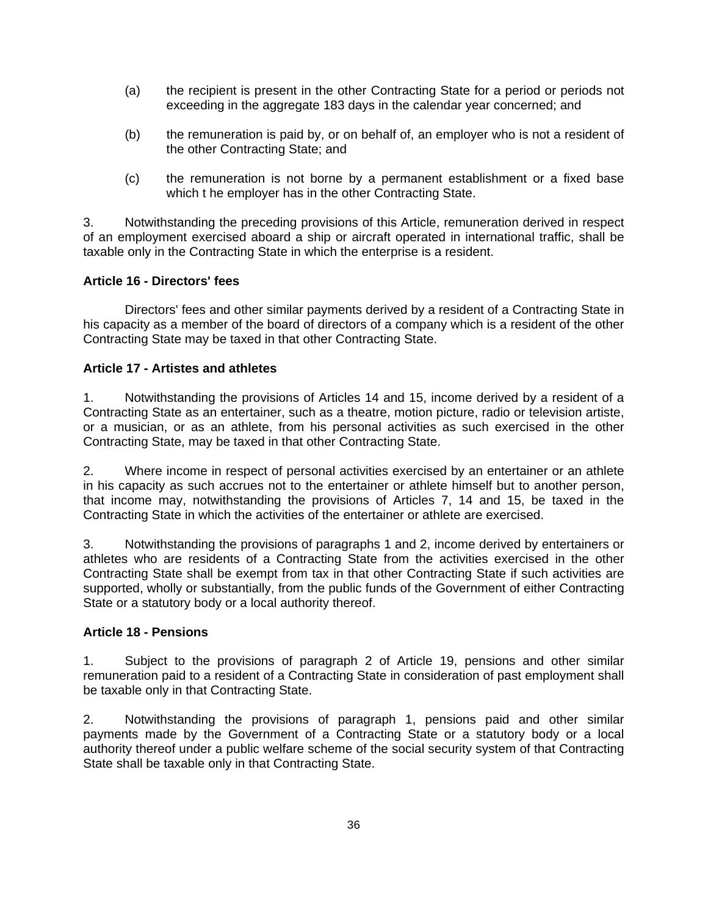- (a) the recipient is present in the other Contracting State for a period or periods not exceeding in the aggregate 183 days in the calendar year concerned; and
- (b) the remuneration is paid by, or on behalf of, an employer who is not a resident of the other Contracting State; and
- (c) the remuneration is not borne by a permanent establishment or a fixed base which t he employer has in the other Contracting State.

3. Notwithstanding the preceding provisions of this Article, remuneration derived in respect of an employment exercised aboard a ship or aircraft operated in international traffic, shall be taxable only in the Contracting State in which the enterprise is a resident.

### **Article 16 - Directors' fees**

Directors' fees and other similar payments derived by a resident of a Contracting State in his capacity as a member of the board of directors of a company which is a resident of the other Contracting State may be taxed in that other Contracting State.

### **Article 17 - Artistes and athletes**

1. Notwithstanding the provisions of Articles 14 and 15, income derived by a resident of a Contracting State as an entertainer, such as a theatre, motion picture, radio or television artiste, or a musician, or as an athlete, from his personal activities as such exercised in the other Contracting State, may be taxed in that other Contracting State.

2. Where income in respect of personal activities exercised by an entertainer or an athlete in his capacity as such accrues not to the entertainer or athlete himself but to another person, that income may, notwithstanding the provisions of Articles 7, 14 and 15, be taxed in the Contracting State in which the activities of the entertainer or athlete are exercised.

3. Notwithstanding the provisions of paragraphs 1 and 2, income derived by entertainers or athletes who are residents of a Contracting State from the activities exercised in the other Contracting State shall be exempt from tax in that other Contracting State if such activities are supported, wholly or substantially, from the public funds of the Government of either Contracting State or a statutory body or a local authority thereof.

#### **Article 18 - Pensions**

1. Subject to the provisions of paragraph 2 of Article 19, pensions and other similar remuneration paid to a resident of a Contracting State in consideration of past employment shall be taxable only in that Contracting State.

2. Notwithstanding the provisions of paragraph 1, pensions paid and other similar payments made by the Government of a Contracting State or a statutory body or a local authority thereof under a public welfare scheme of the social security system of that Contracting State shall be taxable only in that Contracting State.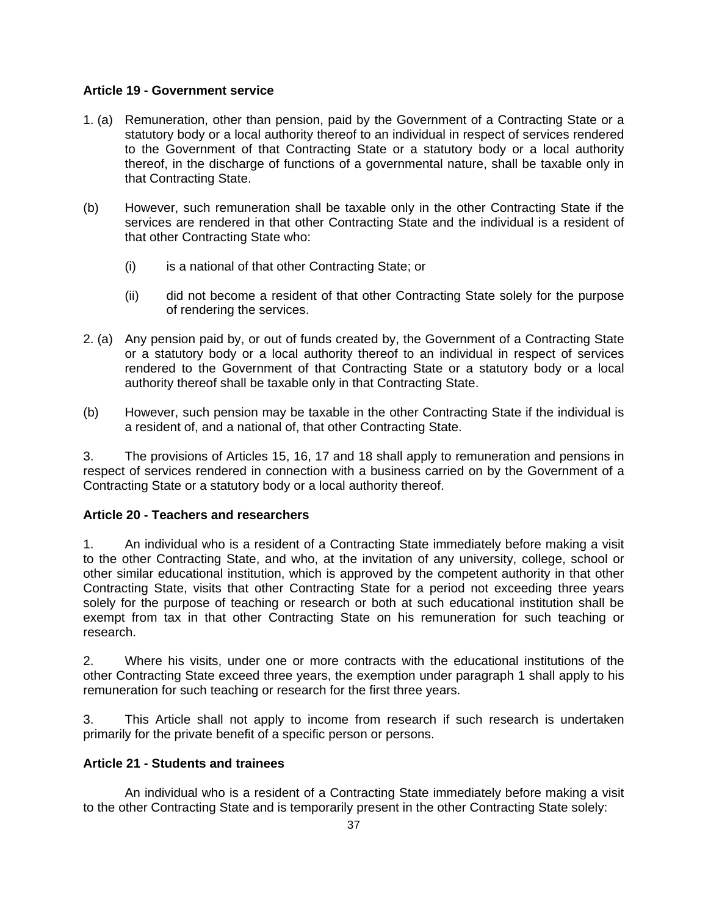#### **Article 19 - Government service**

- 1. (a) Remuneration, other than pension, paid by the Government of a Contracting State or a statutory body or a local authority thereof to an individual in respect of services rendered to the Government of that Contracting State or a statutory body or a local authority thereof, in the discharge of functions of a governmental nature, shall be taxable only in that Contracting State.
- (b) However, such remuneration shall be taxable only in the other Contracting State if the services are rendered in that other Contracting State and the individual is a resident of that other Contracting State who:
	- (i) is a national of that other Contracting State; or
	- (ii) did not become a resident of that other Contracting State solely for the purpose of rendering the services.
- 2. (a) Any pension paid by, or out of funds created by, the Government of a Contracting State or a statutory body or a local authority thereof to an individual in respect of services rendered to the Government of that Contracting State or a statutory body or a local authority thereof shall be taxable only in that Contracting State.
- (b) However, such pension may be taxable in the other Contracting State if the individual is a resident of, and a national of, that other Contracting State.

3. The provisions of Articles 15, 16, 17 and 18 shall apply to remuneration and pensions in respect of services rendered in connection with a business carried on by the Government of a Contracting State or a statutory body or a local authority thereof.

## **Article 20 - Teachers and researchers**

1. An individual who is a resident of a Contracting State immediately before making a visit to the other Contracting State, and who, at the invitation of any university, college, school or other similar educational institution, which is approved by the competent authority in that other Contracting State, visits that other Contracting State for a period not exceeding three years solely for the purpose of teaching or research or both at such educational institution shall be exempt from tax in that other Contracting State on his remuneration for such teaching or research.

2. Where his visits, under one or more contracts with the educational institutions of the other Contracting State exceed three years, the exemption under paragraph 1 shall apply to his remuneration for such teaching or research for the first three years.

3. This Article shall not apply to income from research if such research is undertaken primarily for the private benefit of a specific person or persons.

#### **Article 21 - Students and trainees**

An individual who is a resident of a Contracting State immediately before making a visit to the other Contracting State and is temporarily present in the other Contracting State solely: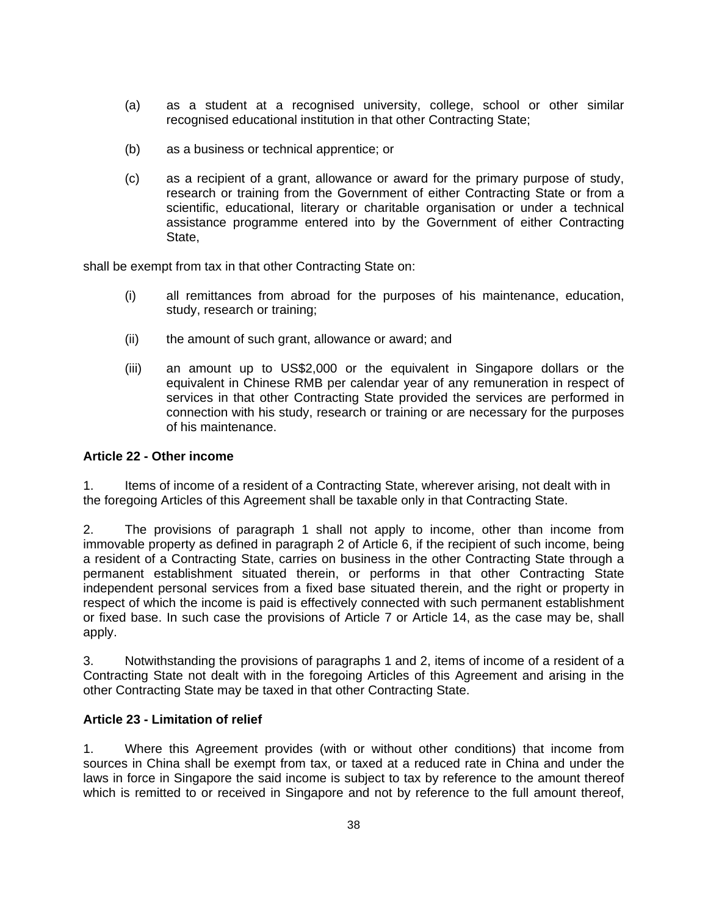- (a) as a student at a recognised university, college, school or other similar recognised educational institution in that other Contracting State;
- (b) as a business or technical apprentice; or
- (c) as a recipient of a grant, allowance or award for the primary purpose of study, research or training from the Government of either Contracting State or from a scientific, educational, literary or charitable organisation or under a technical assistance programme entered into by the Government of either Contracting State,

shall be exempt from tax in that other Contracting State on:

- (i) all remittances from abroad for the purposes of his maintenance, education, study, research or training;
- (ii) the amount of such grant, allowance or award; and
- (iii) an amount up to US\$2,000 or the equivalent in Singapore dollars or the equivalent in Chinese RMB per calendar year of any remuneration in respect of services in that other Contracting State provided the services are performed in connection with his study, research or training or are necessary for the purposes of his maintenance.

#### **Article 22 - Other income**

1. Items of income of a resident of a Contracting State, wherever arising, not dealt with in the foregoing Articles of this Agreement shall be taxable only in that Contracting State.

2. The provisions of paragraph 1 shall not apply to income, other than income from immovable property as defined in paragraph 2 of Article 6, if the recipient of such income, being a resident of a Contracting State, carries on business in the other Contracting State through a permanent establishment situated therein, or performs in that other Contracting State independent personal services from a fixed base situated therein, and the right or property in respect of which the income is paid is effectively connected with such permanent establishment or fixed base. In such case the provisions of Article 7 or Article 14, as the case may be, shall apply.

3. Notwithstanding the provisions of paragraphs 1 and 2, items of income of a resident of a Contracting State not dealt with in the foregoing Articles of this Agreement and arising in the other Contracting State may be taxed in that other Contracting State.

#### **Article 23 - Limitation of relief**

1. Where this Agreement provides (with or without other conditions) that income from sources in China shall be exempt from tax, or taxed at a reduced rate in China and under the laws in force in Singapore the said income is subject to tax by reference to the amount thereof which is remitted to or received in Singapore and not by reference to the full amount thereof,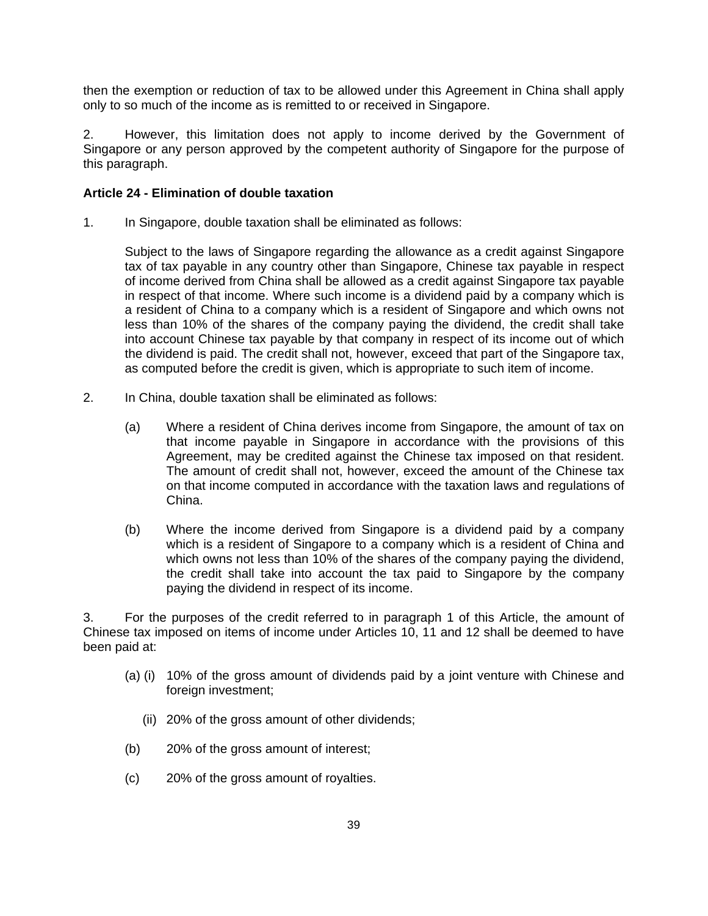then the exemption or reduction of tax to be allowed under this Agreement in China shall apply only to so much of the income as is remitted to or received in Singapore.

2. However, this limitation does not apply to income derived by the Government of Singapore or any person approved by the competent authority of Singapore for the purpose of this paragraph.

#### **Article 24 - Elimination of double taxation**

1. In Singapore, double taxation shall be eliminated as follows:

Subject to the laws of Singapore regarding the allowance as a credit against Singapore tax of tax payable in any country other than Singapore, Chinese tax payable in respect of income derived from China shall be allowed as a credit against Singapore tax payable in respect of that income. Where such income is a dividend paid by a company which is a resident of China to a company which is a resident of Singapore and which owns not less than 10% of the shares of the company paying the dividend, the credit shall take into account Chinese tax payable by that company in respect of its income out of which the dividend is paid. The credit shall not, however, exceed that part of the Singapore tax, as computed before the credit is given, which is appropriate to such item of income.

- 2. In China, double taxation shall be eliminated as follows:
	- (a) Where a resident of China derives income from Singapore, the amount of tax on that income payable in Singapore in accordance with the provisions of this Agreement, may be credited against the Chinese tax imposed on that resident. The amount of credit shall not, however, exceed the amount of the Chinese tax on that income computed in accordance with the taxation laws and regulations of China.
	- (b) Where the income derived from Singapore is a dividend paid by a company which is a resident of Singapore to a company which is a resident of China and which owns not less than 10% of the shares of the company paying the dividend, the credit shall take into account the tax paid to Singapore by the company paying the dividend in respect of its income.

3. For the purposes of the credit referred to in paragraph 1 of this Article, the amount of Chinese tax imposed on items of income under Articles 10, 11 and 12 shall be deemed to have been paid at:

- (a) (i) 10% of the gross amount of dividends paid by a joint venture with Chinese and foreign investment;
	- (ii) 20% of the gross amount of other dividends;
- (b) 20% of the gross amount of interest;
- (c) 20% of the gross amount of royalties.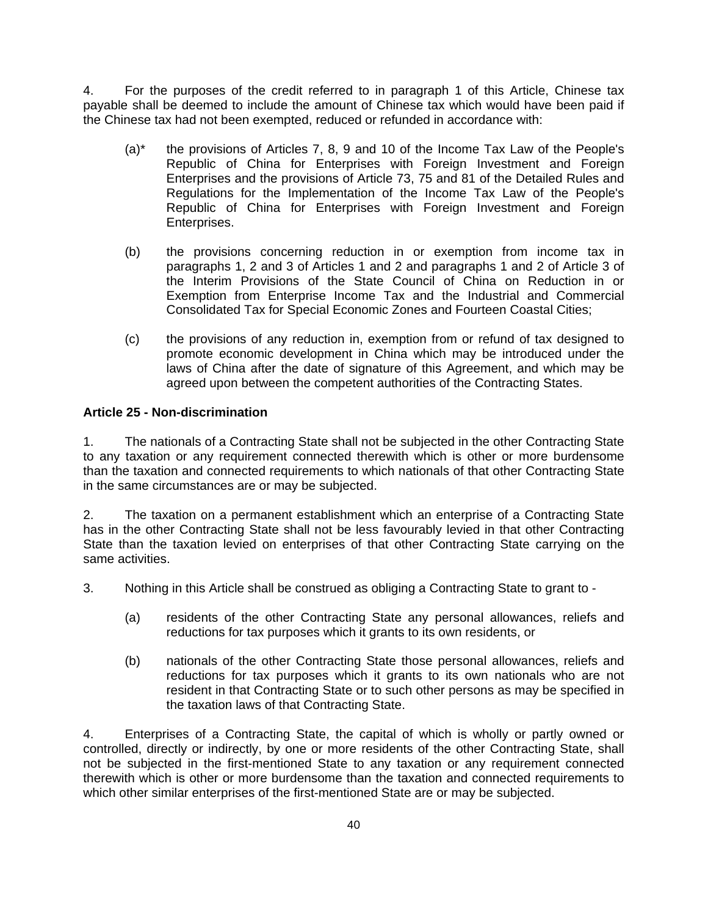4. For the purposes of the credit referred to in paragraph 1 of this Article, Chinese tax payable shall be deemed to include the amount of Chinese tax which would have been paid if the Chinese tax had not been exempted, reduced or refunded in accordance with:

- $(a)^*$  the provisions of Articles 7, 8, 9 and 10 of the Income Tax Law of the People's Republic of China for Enterprises with Foreign Investment and Foreign Enterprises and the provisions of Article 73, 75 and 81 of the Detailed Rules and Regulations for the Implementation of the Income Tax Law of the People's Republic of China for Enterprises with Foreign Investment and Foreign Enterprises.
- (b) the provisions concerning reduction in or exemption from income tax in paragraphs 1, 2 and 3 of Articles 1 and 2 and paragraphs 1 and 2 of Article 3 of the Interim Provisions of the State Council of China on Reduction in or Exemption from Enterprise Income Tax and the Industrial and Commercial Consolidated Tax for Special Economic Zones and Fourteen Coastal Cities;
- (c) the provisions of any reduction in, exemption from or refund of tax designed to promote economic development in China which may be introduced under the laws of China after the date of signature of this Agreement, and which may be agreed upon between the competent authorities of the Contracting States.

## **Article 25 - Non-discrimination**

1. The nationals of a Contracting State shall not be subjected in the other Contracting State to any taxation or any requirement connected therewith which is other or more burdensome than the taxation and connected requirements to which nationals of that other Contracting State in the same circumstances are or may be subjected.

2. The taxation on a permanent establishment which an enterprise of a Contracting State has in the other Contracting State shall not be less favourably levied in that other Contracting State than the taxation levied on enterprises of that other Contracting State carrying on the same activities.

- 3. Nothing in this Article shall be construed as obliging a Contracting State to grant to
	- (a) residents of the other Contracting State any personal allowances, reliefs and reductions for tax purposes which it grants to its own residents, or
	- (b) nationals of the other Contracting State those personal allowances, reliefs and reductions for tax purposes which it grants to its own nationals who are not resident in that Contracting State or to such other persons as may be specified in the taxation laws of that Contracting State.

4. Enterprises of a Contracting State, the capital of which is wholly or partly owned or controlled, directly or indirectly, by one or more residents of the other Contracting State, shall not be subjected in the first-mentioned State to any taxation or any requirement connected therewith which is other or more burdensome than the taxation and connected requirements to which other similar enterprises of the first-mentioned State are or may be subjected.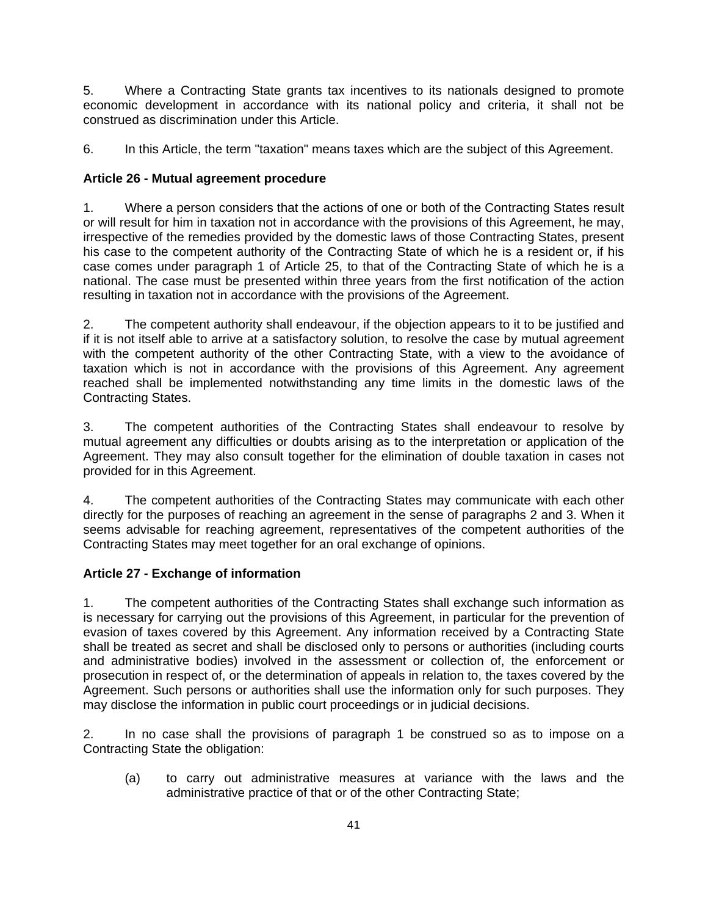5. Where a Contracting State grants tax incentives to its nationals designed to promote economic development in accordance with its national policy and criteria, it shall not be construed as discrimination under this Article.

6. In this Article, the term "taxation" means taxes which are the subject of this Agreement.

## **Article 26 - Mutual agreement procedure**

1. Where a person considers that the actions of one or both of the Contracting States result or will result for him in taxation not in accordance with the provisions of this Agreement, he may, irrespective of the remedies provided by the domestic laws of those Contracting States, present his case to the competent authority of the Contracting State of which he is a resident or, if his case comes under paragraph 1 of Article 25, to that of the Contracting State of which he is a national. The case must be presented within three years from the first notification of the action resulting in taxation not in accordance with the provisions of the Agreement.

2. The competent authority shall endeavour, if the objection appears to it to be justified and if it is not itself able to arrive at a satisfactory solution, to resolve the case by mutual agreement with the competent authority of the other Contracting State, with a view to the avoidance of taxation which is not in accordance with the provisions of this Agreement. Any agreement reached shall be implemented notwithstanding any time limits in the domestic laws of the Contracting States.

3. The competent authorities of the Contracting States shall endeavour to resolve by mutual agreement any difficulties or doubts arising as to the interpretation or application of the Agreement. They may also consult together for the elimination of double taxation in cases not provided for in this Agreement.

4. The competent authorities of the Contracting States may communicate with each other directly for the purposes of reaching an agreement in the sense of paragraphs 2 and 3. When it seems advisable for reaching agreement, representatives of the competent authorities of the Contracting States may meet together for an oral exchange of opinions.

## **Article 27 - Exchange of information**

1. The competent authorities of the Contracting States shall exchange such information as is necessary for carrying out the provisions of this Agreement, in particular for the prevention of evasion of taxes covered by this Agreement. Any information received by a Contracting State shall be treated as secret and shall be disclosed only to persons or authorities (including courts and administrative bodies) involved in the assessment or collection of, the enforcement or prosecution in respect of, or the determination of appeals in relation to, the taxes covered by the Agreement. Such persons or authorities shall use the information only for such purposes. They may disclose the information in public court proceedings or in judicial decisions.

2. In no case shall the provisions of paragraph 1 be construed so as to impose on a Contracting State the obligation:

(a) to carry out administrative measures at variance with the laws and the administrative practice of that or of the other Contracting State;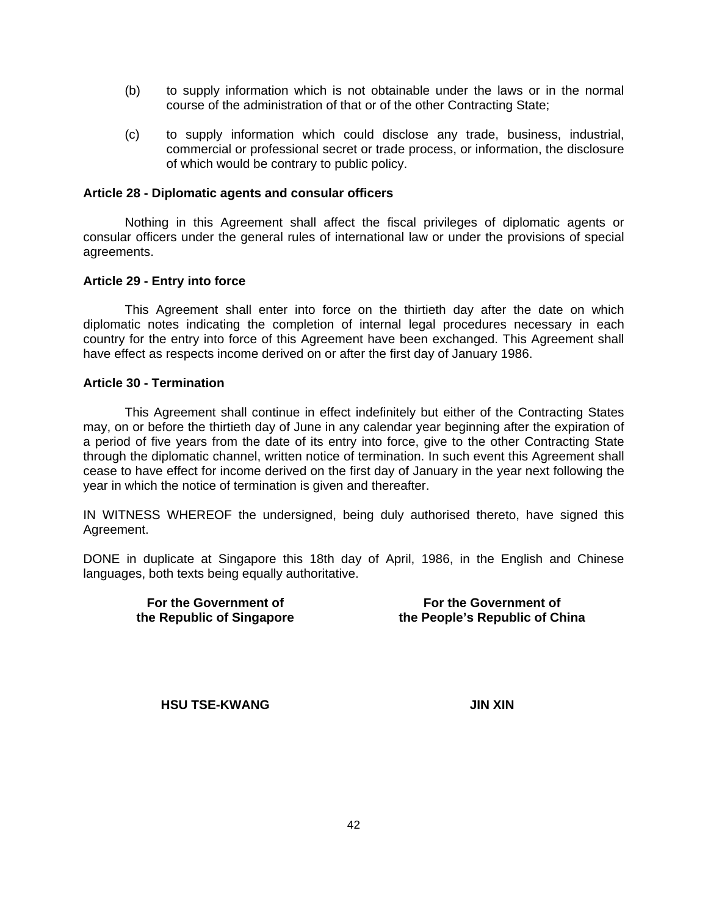- (b) to supply information which is not obtainable under the laws or in the normal course of the administration of that or of the other Contracting State;
- (c) to supply information which could disclose any trade, business, industrial, commercial or professional secret or trade process, or information, the disclosure of which would be contrary to public policy.

#### **Article 28 - Diplomatic agents and consular officers**

Nothing in this Agreement shall affect the fiscal privileges of diplomatic agents or consular officers under the general rules of international law or under the provisions of special agreements.

#### **Article 29 - Entry into force**

This Agreement shall enter into force on the thirtieth day after the date on which diplomatic notes indicating the completion of internal legal procedures necessary in each country for the entry into force of this Agreement have been exchanged. This Agreement shall have effect as respects income derived on or after the first day of January 1986.

#### **Article 30 - Termination**

This Agreement shall continue in effect indefinitely but either of the Contracting States may, on or before the thirtieth day of June in any calendar year beginning after the expiration of a period of five years from the date of its entry into force, give to the other Contracting State through the diplomatic channel, written notice of termination. In such event this Agreement shall cease to have effect for income derived on the first day of January in the year next following the year in which the notice of termination is given and thereafter.

IN WITNESS WHEREOF the undersigned, being duly authorised thereto, have signed this Agreement.

DONE in duplicate at Singapore this 18th day of April, 1986, in the English and Chinese languages, both texts being equally authoritative.

**For the Government of the Republic of Singapore**

**For the Government of the People's Republic of China**

**HSU TSE-KWANG JIN XIN**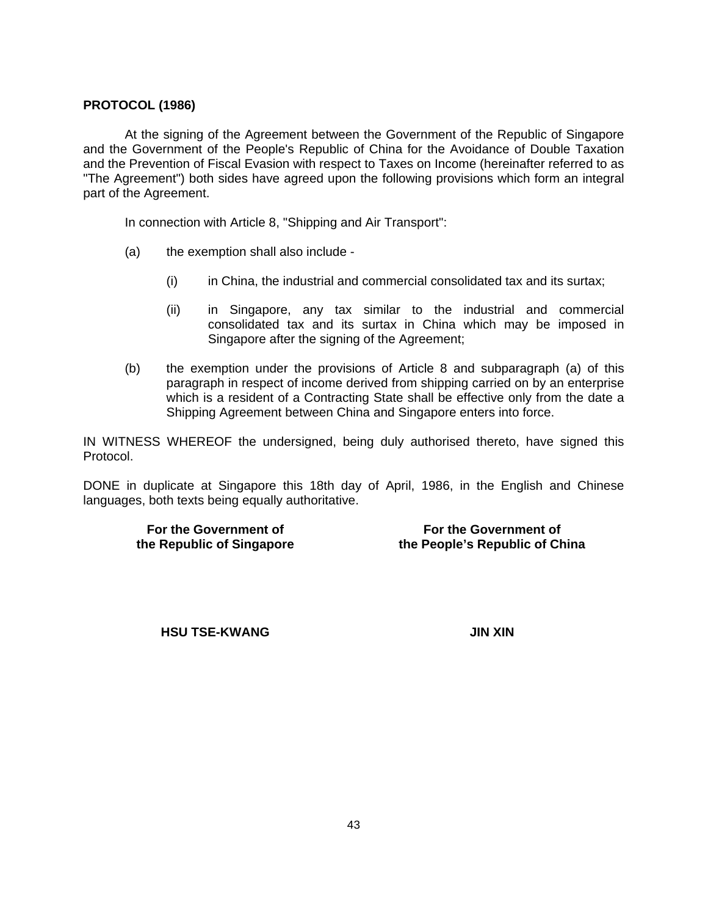#### **PROTOCOL (1986)**

At the signing of the Agreement between the Government of the Republic of Singapore and the Government of the People's Republic of China for the Avoidance of Double Taxation and the Prevention of Fiscal Evasion with respect to Taxes on Income (hereinafter referred to as "The Agreement") both sides have agreed upon the following provisions which form an integral part of the Agreement.

In connection with Article 8, "Shipping and Air Transport":

- (a) the exemption shall also include
	- (i) in China, the industrial and commercial consolidated tax and its surtax;
	- (ii) in Singapore, any tax similar to the industrial and commercial consolidated tax and its surtax in China which may be imposed in Singapore after the signing of the Agreement;
- (b) the exemption under the provisions of Article 8 and subparagraph (a) of this paragraph in respect of income derived from shipping carried on by an enterprise which is a resident of a Contracting State shall be effective only from the date a Shipping Agreement between China and Singapore enters into force.

IN WITNESS WHEREOF the undersigned, being duly authorised thereto, have signed this Protocol.

DONE in duplicate at Singapore this 18th day of April, 1986, in the English and Chinese languages, both texts being equally authoritative.

**For the Government of the Republic of Singapore**

**For the Government of the People's Republic of China**

**HSU TSE-KWANG JIN XIN**